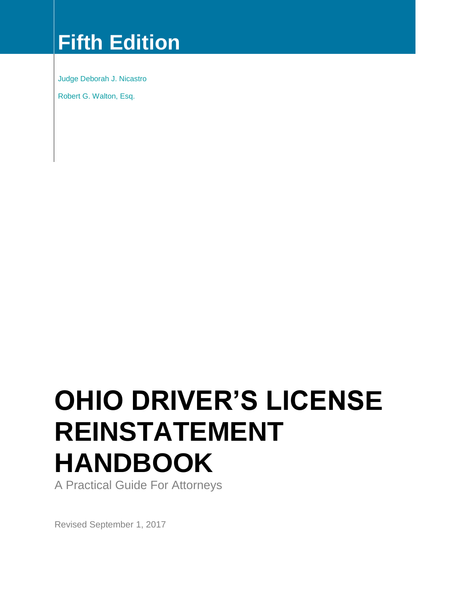# **Fifth Edition**

Judge Deborah J. Nicastro

Robert G. Walton, Esq.

# **OHIO DRIVER'S LICENSE REINSTATEMENT HANDBOOK**

A Practical Guide For Attorneys

Revised September 1, 2017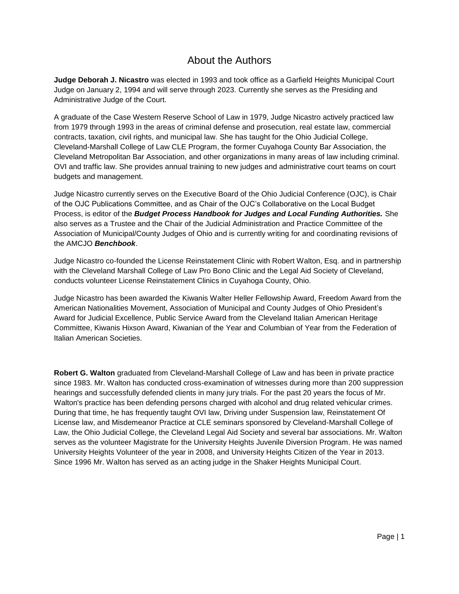# About the Authors

**Judge Deborah J. Nicastro** was elected in 1993 and took office as a Garfield Heights Municipal Court Judge on January 2, 1994 and will serve through 2023. Currently she serves as the Presiding and Administrative Judge of the Court.

A graduate of the Case Western Reserve School of Law in 1979, Judge Nicastro actively practiced law from 1979 through 1993 in the areas of criminal defense and prosecution, real estate law, commercial contracts, taxation, civil rights, and municipal law. She has taught for the Ohio Judicial College, Cleveland-Marshall College of Law CLE Program, the former Cuyahoga County Bar Association, the Cleveland Metropolitan Bar Association, and other organizations in many areas of law including criminal. OVI and traffic law. She provides annual training to new judges and administrative court teams on court budgets and management.

Judge Nicastro currently serves on the Executive Board of the Ohio Judicial Conference (OJC), is Chair of the OJC Publications Committee, and as Chair of the OJC's Collaborative on the Local Budget Process, is editor of the *Budget Process Handbook for Judges and Local Funding Authorities.* She also serves as a Trustee and the Chair of the Judicial Administration and Practice Committee of the Association of Municipal/County Judges of Ohio and is currently writing for and coordinating revisions of the AMCJO *Benchbook*.

Judge Nicastro co-founded the License Reinstatement Clinic with Robert Walton, Esq. and in partnership with the Cleveland Marshall College of Law Pro Bono Clinic and the Legal Aid Society of Cleveland, conducts volunteer License Reinstatement Clinics in Cuyahoga County, Ohio.

Judge Nicastro has been awarded the Kiwanis Walter Heller Fellowship Award, Freedom Award from the American Nationalities Movement, Association of Municipal and County Judges of Ohio President's Award for Judicial Excellence, Public Service Award from the Cleveland Italian American Heritage Committee, Kiwanis Hixson Award, Kiwanian of the Year and Columbian of Year from the Federation of Italian American Societies.

**Robert G. Walton** graduated from Cleveland-Marshall College of Law and has been in private practice since 1983. Mr. Walton has conducted cross-examination of witnesses during more than 200 suppression hearings and successfully defended clients in many jury trials. For the past 20 years the focus of Mr. Walton's practice has been defending persons charged with alcohol and drug related vehicular crimes. During that time, he has frequently taught OVI law, Driving under Suspension law, Reinstatement Of License law, and Misdemeanor Practice at CLE seminars sponsored by Cleveland-Marshall College of Law, the Ohio Judicial College, the Cleveland Legal Aid Society and several bar associations. Mr. Walton serves as the volunteer Magistrate for the University Heights Juvenile Diversion Program. He was named University Heights Volunteer of the year in 2008, and University Heights Citizen of the Year in 2013. Since 1996 Mr. Walton has served as an acting judge in the Shaker Heights Municipal Court.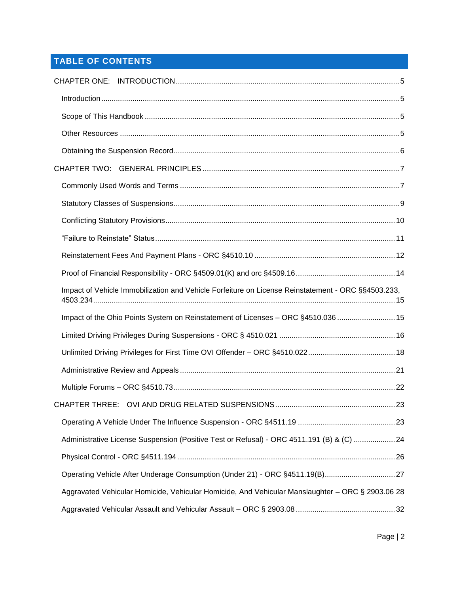# **TABLE OF CONTENTS**

| Impact of Vehicle Immobilization and Vehicle Forfeiture on License Reinstatement - ORC §§4503.233, |  |
|----------------------------------------------------------------------------------------------------|--|
| Impact of the Ohio Points System on Reinstatement of Licenses - ORC §4510.036  15                  |  |
|                                                                                                    |  |
|                                                                                                    |  |
|                                                                                                    |  |
|                                                                                                    |  |
|                                                                                                    |  |
|                                                                                                    |  |
| Administrative License Suspension (Positive Test or Refusal) - ORC 4511.191 (B) & (C) 24           |  |
|                                                                                                    |  |
| Operating Vehicle After Underage Consumption (Under 21) - ORC §4511.19(B)27                        |  |
| Aggravated Vehicular Homicide, Vehicular Homicide, And Vehicular Manslaughter - ORC § 2903.06 28   |  |
|                                                                                                    |  |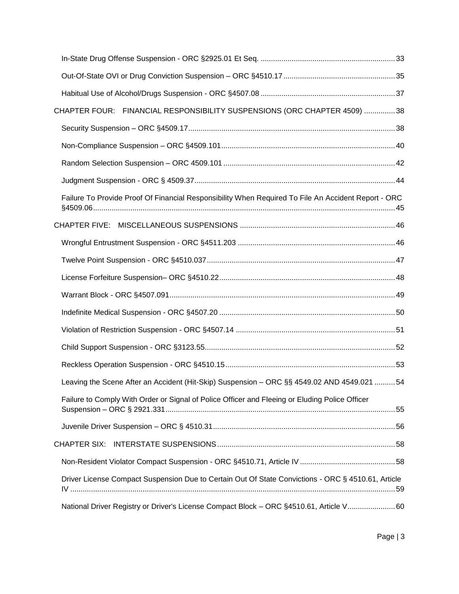| CHAPTER FOUR: FINANCIAL RESPONSIBILITY SUSPENSIONS (ORC CHAPTER 4509) 38                            |  |
|-----------------------------------------------------------------------------------------------------|--|
|                                                                                                     |  |
|                                                                                                     |  |
|                                                                                                     |  |
|                                                                                                     |  |
| Failure To Provide Proof Of Financial Responsibility When Required To File An Accident Report - ORC |  |
|                                                                                                     |  |
|                                                                                                     |  |
|                                                                                                     |  |
|                                                                                                     |  |
|                                                                                                     |  |
|                                                                                                     |  |
|                                                                                                     |  |
|                                                                                                     |  |
|                                                                                                     |  |
| Leaving the Scene After an Accident (Hit-Skip) Suspension - ORC §§ 4549.02 AND 4549.021 54          |  |
| Failure to Comply With Order or Signal of Police Officer and Fleeing or Eluding Police Officer      |  |
|                                                                                                     |  |
|                                                                                                     |  |
|                                                                                                     |  |
| Driver License Compact Suspension Due to Certain Out Of State Convictions - ORC § 4510.61, Article  |  |
| National Driver Registry or Driver's License Compact Block - ORC §4510.61, Article V 60             |  |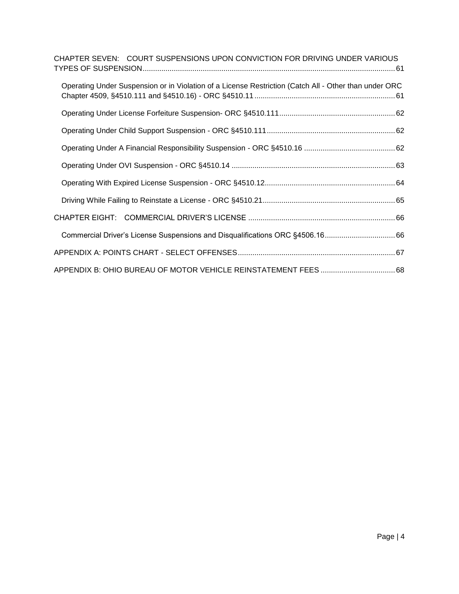| CHAPTER SEVEN: COURT SUSPENSIONS UPON CONVICTION FOR DRIVING UNDER VARIOUS                            |
|-------------------------------------------------------------------------------------------------------|
| Operating Under Suspension or in Violation of a License Restriction (Catch All - Other than under ORC |
|                                                                                                       |
|                                                                                                       |
|                                                                                                       |
|                                                                                                       |
|                                                                                                       |
|                                                                                                       |
|                                                                                                       |
| Commercial Driver's License Suspensions and Disqualifications ORC §4506.1666                          |
|                                                                                                       |
|                                                                                                       |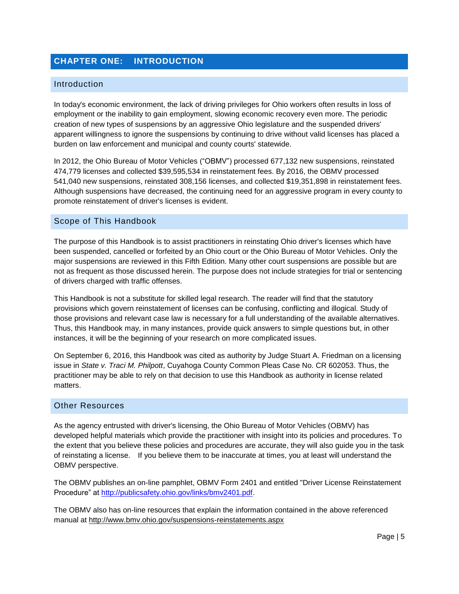# <span id="page-5-0"></span>**CHAPTER ONE: INTRODUCTION**

#### <span id="page-5-1"></span>Introduction

In today's economic environment, the lack of driving privileges for Ohio workers often results in loss of employment or the inability to gain employment, slowing economic recovery even more. The periodic creation of new types of suspensions by an aggressive Ohio legislature and the suspended drivers' apparent willingness to ignore the suspensions by continuing to drive without valid licenses has placed a burden on law enforcement and municipal and county courts' statewide.

In 2012, the Ohio Bureau of Motor Vehicles ("OBMV") processed 677,132 new suspensions, reinstated 474,779 licenses and collected \$39,595,534 in reinstatement fees. By 2016, the OBMV processed 541,040 new suspensions, reinstated 308,156 licenses, and collected \$19,351,898 in reinstatement fees. Although suspensions have decreased, the continuing need for an aggressive program in every county to promote reinstatement of driver's licenses is evident.

#### <span id="page-5-2"></span>Scope of This Handbook

The purpose of this Handbook is to assist practitioners in reinstating Ohio driver's licenses which have been suspended, cancelled or forfeited by an Ohio court or the Ohio Bureau of Motor Vehicles. Only the major suspensions are reviewed in this Fifth Edition. Many other court suspensions are possible but are not as frequent as those discussed herein. The purpose does not include strategies for trial or sentencing of drivers charged with traffic offenses.

This Handbook is not a substitute for skilled legal research. The reader will find that the statutory provisions which govern reinstatement of licenses can be confusing, conflicting and illogical. Study of those provisions and relevant case law is necessary for a full understanding of the available alternatives. Thus, this Handbook may, in many instances, provide quick answers to simple questions but, in other instances, it will be the beginning of your research on more complicated issues.

On September 6, 2016, this Handbook was cited as authority by Judge Stuart A. Friedman on a licensing issue in *State v. Traci M. Philpott*, Cuyahoga County Common Pleas Case No. CR 602053. Thus, the practitioner may be able to rely on that decision to use this Handbook as authority in license related matters.

#### <span id="page-5-3"></span>Other Resources

As the agency entrusted with driver's licensing, the Ohio Bureau of Motor Vehicles (OBMV) has developed helpful materials which provide the practitioner with insight into its policies and procedures. To the extent that you believe these policies and procedures are accurate, they will also guide you in the task of reinstating a license. If you believe them to be inaccurate at times, you at least will understand the OBMV perspective.

The OBMV publishes an on-line pamphlet, OBMV Form 2401 and entitled "Driver License Reinstatement Procedure" at [http://publicsafety.ohio.gov/links/bmv2401.pdf.](http://publicsafety.ohio.gov/links/bmv2401.pdf)

The OBMV also has on-line resources that explain the information contained in the above referenced manual at http://www.bmv.ohio.gov/suspensions-reinstatements.aspx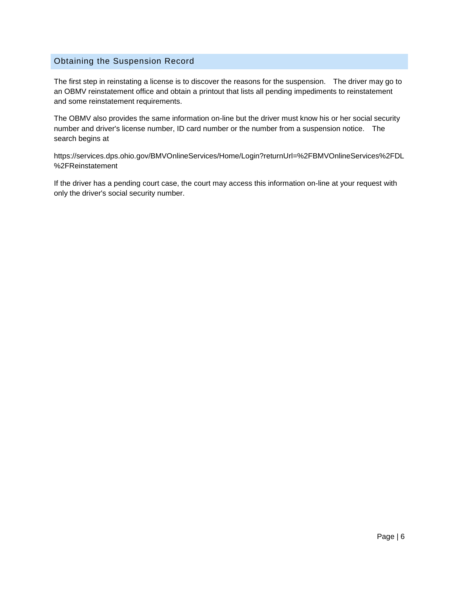#### <span id="page-6-0"></span>Obtaining the Suspension Record

The first step in reinstating a license is to discover the reasons for the suspension. The driver may go to an OBMV reinstatement office and obtain a printout that lists all pending impediments to reinstatement and some reinstatement requirements.

The OBMV also provides the same information on-line but the driver must know his or her social security number and driver's license number, ID card number or the number from a suspension notice. The search begins at

https://services.dps.ohio.gov/BMVOnlineServices/Home/Login?returnUrl=%2FBMVOnlineServices%2FDL %2FReinstatement

If the driver has a pending court case, the court may access this information on-line at your request with only the driver's social security number.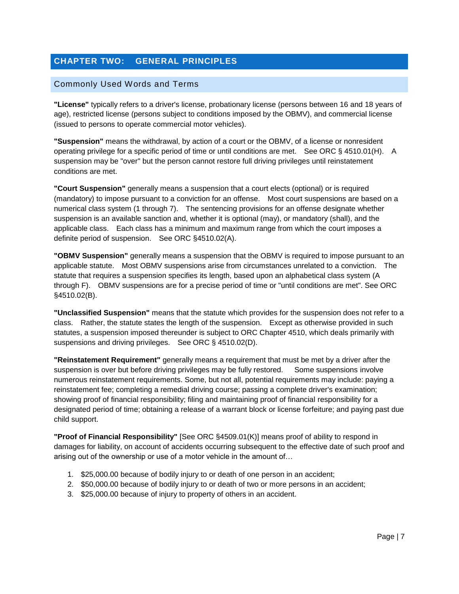# <span id="page-7-0"></span>**CHAPTER TWO: GENERAL PRINCIPLES**

#### <span id="page-7-1"></span>Commonly Used Words and Terms

**"License"** typically refers to a driver's license, probationary license (persons between 16 and 18 years of age), restricted license (persons subject to conditions imposed by the OBMV), and commercial license (issued to persons to operate commercial motor vehicles).

**"Suspension"** means the withdrawal, by action of a court or the OBMV, of a license or nonresident operating privilege for a specific period of time or until conditions are met. See ORC § 4510.01(H). A suspension may be "over" but the person cannot restore full driving privileges until reinstatement conditions are met.

**"Court Suspension"** generally means a suspension that a court elects (optional) or is required (mandatory) to impose pursuant to a conviction for an offense. Most court suspensions are based on a numerical class system (1 through 7). The sentencing provisions for an offense designate whether suspension is an available sanction and, whether it is optional (may), or mandatory (shall), and the applicable class. Each class has a minimum and maximum range from which the court imposes a definite period of suspension. See ORC §4510.02(A).

**"OBMV Suspension"** generally means a suspension that the OBMV is required to impose pursuant to an applicable statute. Most OBMV suspensions arise from circumstances unrelated to a conviction. The statute that requires a suspension specifies its length, based upon an alphabetical class system (A through F). OBMV suspensions are for a precise period of time or "until conditions are met". See ORC §4510.02(B).

**"Unclassified Suspension"** means that the statute which provides for the suspension does not refer to a class. Rather, the statute states the length of the suspension. Except as otherwise provided in such statutes, a suspension imposed thereunder is subject to ORC Chapter 4510, which deals primarily with suspensions and driving privileges. See ORC § 4510.02(D).

**"Reinstatement Requirement"** generally means a requirement that must be met by a driver after the suspension is over but before driving privileges may be fully restored. Some suspensions involve numerous reinstatement requirements. Some, but not all, potential requirements may include: paying a reinstatement fee; completing a remedial driving course; passing a complete driver's examination; showing proof of financial responsibility; filing and maintaining proof of financial responsibility for a designated period of time; obtaining a release of a warrant block or license forfeiture; and paying past due child support.

**"Proof of Financial Responsibility"** [See ORC §4509.01(K)] means proof of ability to respond in damages for liability, on account of accidents occurring subsequent to the effective date of such proof and arising out of the ownership or use of a motor vehicle in the amount of…

- 1. \$25,000.00 because of bodily injury to or death of one person in an accident;
- 2. \$50,000.00 because of bodily injury to or death of two or more persons in an accident;
- 3. \$25,000.00 because of injury to property of others in an accident.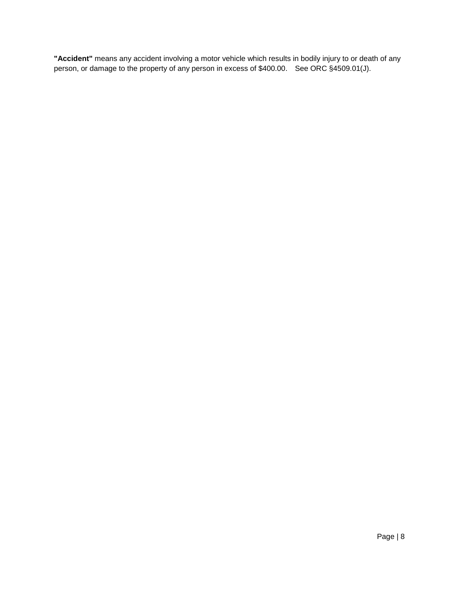**"Accident"** means any accident involving a motor vehicle which results in bodily injury to or death of any person, or damage to the property of any person in excess of \$400.00. See ORC §4509.01(J).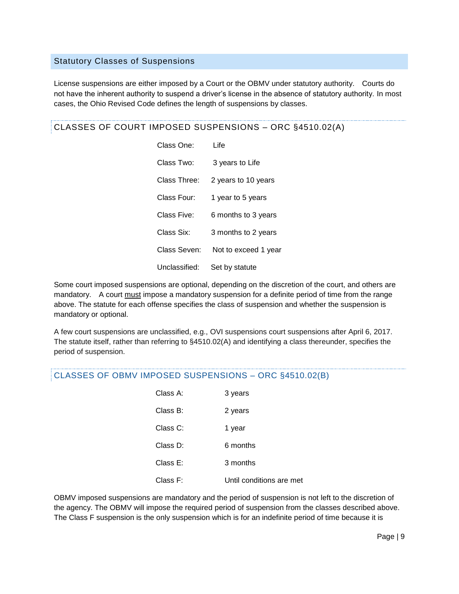#### <span id="page-9-0"></span>Statutory Classes of Suspensions

License suspensions are either imposed by a Court or the OBMV under statutory authority. Courts do not have the inherent authority to suspend a driver's license in the absence of statutory authority. In most cases, the Ohio Revised Code defines the length of suspensions by classes.

CLASSES OF COURT IMPOSED SUSPENSIONS – ORC §4510.02(A)

Class One: Life Class Two: 3 years to Life Class Three: 2 years to 10 years Class Four: 1 year to 5 years Class Five: 6 months to 3 years Class Six: 3 months to 2 years Class Seven: Not to exceed 1 year Unclassified: Set by statute

Some court imposed suspensions are optional, depending on the discretion of the court, and others are mandatory. A court must impose a mandatory suspension for a definite period of time from the range above. The statute for each offense specifies the class of suspension and whether the suspension is mandatory or optional.

A few court suspensions are unclassified, e.g., OVI suspensions court suspensions after April 6, 2017. The statute itself, rather than referring to §4510.02(A) and identifying a class thereunder, specifies the period of suspension.

#### CLASSES OF OBMV IMPOSED SUSPENSIONS – ORC §4510.02(B)

| Class A:    | 3 years                  |
|-------------|--------------------------|
| Class B:    | 2 years                  |
| Class C:    | 1 year                   |
| Class D:    | 6 months                 |
| Class $E$ : | 3 months                 |
| Class F:    | Until conditions are met |

OBMV imposed suspensions are mandatory and the period of suspension is not left to the discretion of the agency. The OBMV will impose the required period of suspension from the classes described above. The Class F suspension is the only suspension which is for an indefinite period of time because it is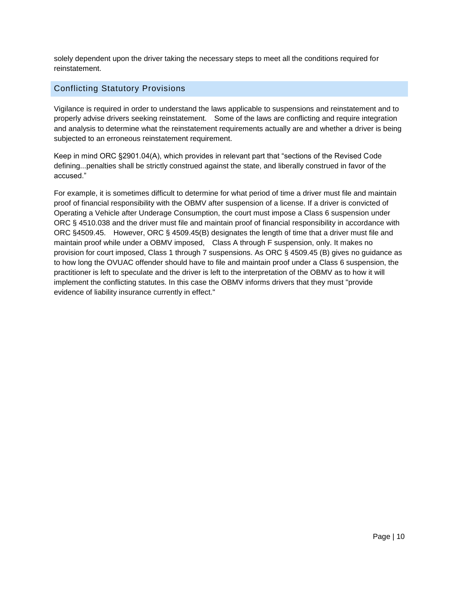solely dependent upon the driver taking the necessary steps to meet all the conditions required for reinstatement.

# <span id="page-10-0"></span>Conflicting Statutory Provisions

Vigilance is required in order to understand the laws applicable to suspensions and reinstatement and to properly advise drivers seeking reinstatement. Some of the laws are conflicting and require integration and analysis to determine what the reinstatement requirements actually are and whether a driver is being subjected to an erroneous reinstatement requirement.

Keep in mind ORC §2901.04(A), which provides in relevant part that "sections of the Revised Code defining...penalties shall be strictly construed against the state, and liberally construed in favor of the accused."

For example, it is sometimes difficult to determine for what period of time a driver must file and maintain proof of financial responsibility with the OBMV after suspension of a license. If a driver is convicted of Operating a Vehicle after Underage Consumption, the court must impose a Class 6 suspension under ORC § 4510.038 and the driver must file and maintain proof of financial responsibility in accordance with ORC §4509.45. However, ORC § 4509.45(B) designates the length of time that a driver must file and maintain proof while under a OBMV imposed, Class A through F suspension, only. It makes no provision for court imposed, Class 1 through 7 suspensions. As ORC § 4509.45 (B) gives no guidance as to how long the OVUAC offender should have to file and maintain proof under a Class 6 suspension, the practitioner is left to speculate and the driver is left to the interpretation of the OBMV as to how it will implement the conflicting statutes. In this case the OBMV informs drivers that they must "provide evidence of liability insurance currently in effect."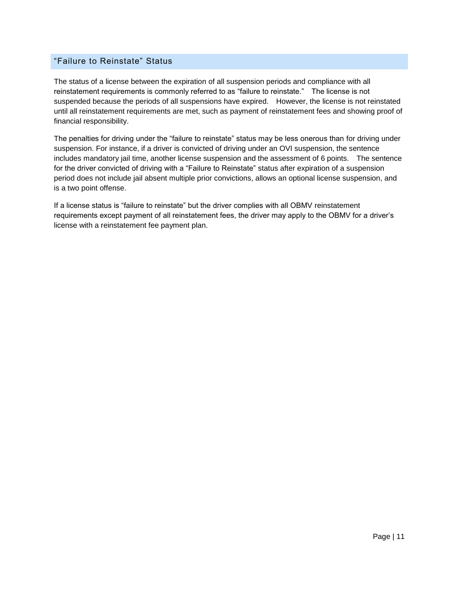#### <span id="page-11-0"></span>"Failure to Reinstate" Status

The status of a license between the expiration of all suspension periods and compliance with all reinstatement requirements is commonly referred to as "failure to reinstate." The license is not suspended because the periods of all suspensions have expired. However, the license is not reinstated until all reinstatement requirements are met, such as payment of reinstatement fees and showing proof of financial responsibility.

The penalties for driving under the "failure to reinstate" status may be less onerous than for driving under suspension. For instance, if a driver is convicted of driving under an OVI suspension, the sentence includes mandatory jail time, another license suspension and the assessment of 6 points. The sentence for the driver convicted of driving with a "Failure to Reinstate" status after expiration of a suspension period does not include jail absent multiple prior convictions, allows an optional license suspension, and is a two point offense.

If a license status is "failure to reinstate" but the driver complies with all OBMV reinstatement requirements except payment of all reinstatement fees, the driver may apply to the OBMV for a driver's license with a reinstatement fee payment plan.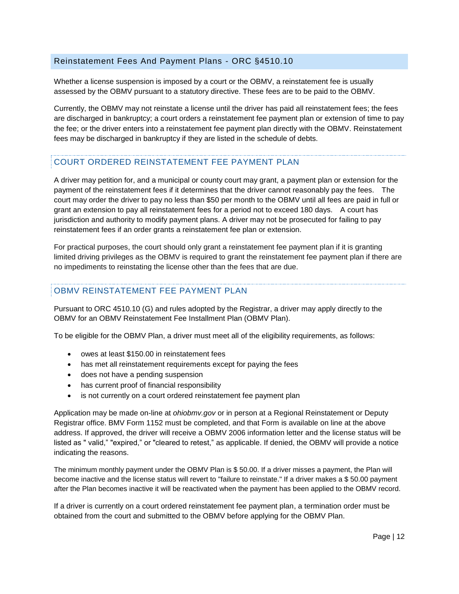#### <span id="page-12-0"></span>Reinstatement Fees And Payment Plans - ORC §4510.10

Whether a license suspension is imposed by a court or the OBMV, a reinstatement fee is usually assessed by the OBMV pursuant to a statutory directive. These fees are to be paid to the OBMV.

Currently, the OBMV may not reinstate a license until the driver has paid all reinstatement fees; the fees are discharged in bankruptcy; a court orders a reinstatement fee payment plan or extension of time to pay the fee; or the driver enters into a reinstatement fee payment plan directly with the OBMV. Reinstatement fees may be discharged in bankruptcy if they are listed in the schedule of debts.

#### COURT ORDERED REINSTATEMENT FEE PAYMENT PLAN

A driver may petition for, and a municipal or county court may grant, a payment plan or extension for the payment of the reinstatement fees if it determines that the driver cannot reasonably pay the fees. The court may order the driver to pay no less than \$50 per month to the OBMV until all fees are paid in full or grant an extension to pay all reinstatement fees for a period not to exceed 180 days. A court has jurisdiction and authority to modify payment plans. A driver may not be prosecuted for failing to pay reinstatement fees if an order grants a reinstatement fee plan or extension.

For practical purposes, the court should only grant a reinstatement fee payment plan if it is granting limited driving privileges as the OBMV is required to grant the reinstatement fee payment plan if there are no impediments to reinstating the license other than the fees that are due.

# OBMV REINSTATEMENT FEE PAYMENT PLAN

Pursuant to ORC 4510.10 (G) and rules adopted by the Registrar, a driver may apply directly to the OBMV for an OBMV Reinstatement Fee Installment Plan (OBMV Plan).

To be eligible for the OBMV Plan, a driver must meet all of the eligibility requirements, as follows:

- owes at least \$150.00 in reinstatement fees
- has met all reinstatement requirements except for paying the fees
- does not have a pending suspension
- has current proof of financial responsibility
- is not currently on a court ordered reinstatement fee payment plan

Application may be made on-line at *ohiobmv.gov* or in person at a Regional Reinstatement or Deputy Registrar office. BMV Form 1152 must be completed, and that Form is available on line at the above address. If approved, the driver will receive a OBMV 2006 information letter and the license status will be listed as " valid," "expired," or "cleared to retest," as applicable. If denied, the OBMV will provide a notice indicating the reasons.

The minimum monthly payment under the OBMV Plan is \$ 50.00. If a driver misses a payment, the Plan will become inactive and the license status will revert to "failure to reinstate." If a driver makes a \$ 50.00 payment after the Plan becomes inactive it will be reactivated when the payment has been applied to the OBMV record.

If a driver is currently on a court ordered reinstatement fee payment plan, a termination order must be obtained from the court and submitted to the OBMV before applying for the OBMV Plan.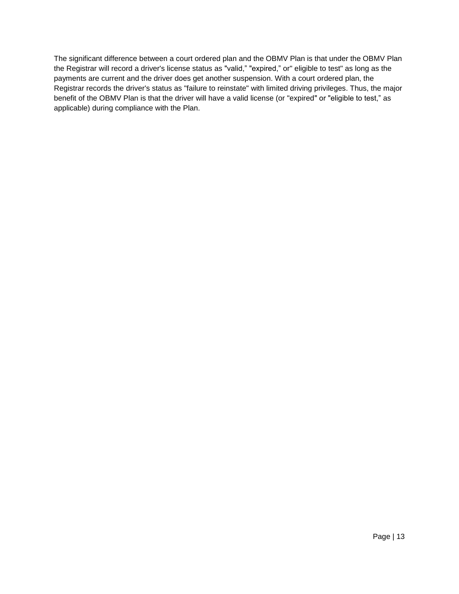The significant difference between a court ordered plan and the OBMV Plan is that under the OBMV Plan the Registrar will record a driver's license status as "valid," "expired," or" eligible to test" as long as the payments are current and the driver does get another suspension. With a court ordered plan, the Registrar records the driver's status as "failure to reinstate" with limited driving privileges. Thus, the major benefit of the OBMV Plan is that the driver will have a valid license (or "expired" or "eligible to test," as applicable) during compliance with the Plan.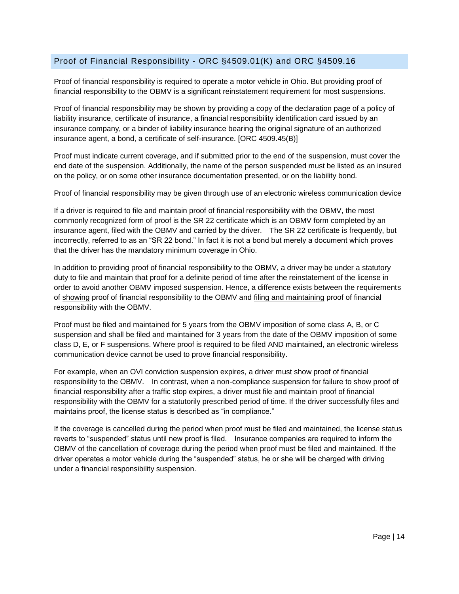#### <span id="page-14-0"></span>Proof of Financial Responsibility - ORC §4509.01(K) and ORC §4509.16

Proof of financial responsibility is required to operate a motor vehicle in Ohio. But providing proof of financial responsibility to the OBMV is a significant reinstatement requirement for most suspensions.

Proof of financial responsibility may be shown by providing a copy of the declaration page of a policy of liability insurance, certificate of insurance, a financial responsibility identification card issued by an insurance company, or a binder of liability insurance bearing the original signature of an authorized insurance agent, a bond, a certificate of self-insurance. [ORC 4509.45(B)]

Proof must indicate current coverage, and if submitted prior to the end of the suspension, must cover the end date of the suspension. Additionally, the name of the person suspended must be listed as an insured on the policy, or on some other insurance documentation presented, or on the liability bond.

Proof of financial responsibility may be given through use of an electronic wireless communication device

If a driver is required to file and maintain proof of financial responsibility with the OBMV, the most commonly recognized form of proof is the SR 22 certificate which is an OBMV form completed by an insurance agent, filed with the OBMV and carried by the driver. The SR 22 certificate is frequently, but incorrectly, referred to as an "SR 22 bond." In fact it is not a bond but merely a document which proves that the driver has the mandatory minimum coverage in Ohio.

In addition to providing proof of financial responsibility to the OBMV, a driver may be under a statutory duty to file and maintain that proof for a definite period of time after the reinstatement of the license in order to avoid another OBMV imposed suspension. Hence, a difference exists between the requirements of showing proof of financial responsibility to the OBMV and filing and maintaining proof of financial responsibility with the OBMV.

Proof must be filed and maintained for 5 years from the OBMV imposition of some class A, B, or C suspension and shall be filed and maintained for 3 years from the date of the OBMV imposition of some class D, E, or F suspensions. Where proof is required to be filed AND maintained, an electronic wireless communication device cannot be used to prove financial responsibility.

For example, when an OVI conviction suspension expires, a driver must show proof of financial responsibility to the OBMV. In contrast, when a non-compliance suspension for failure to show proof of financial responsibility after a traffic stop expires, a driver must file and maintain proof of financial responsibility with the OBMV for a statutorily prescribed period of time. If the driver successfully files and maintains proof, the license status is described as "in compliance."

If the coverage is cancelled during the period when proof must be filed and maintained, the license status reverts to "suspended" status until new proof is filed. Insurance companies are required to inform the OBMV of the cancellation of coverage during the period when proof must be filed and maintained. If the driver operates a motor vehicle during the "suspended" status, he or she will be charged with driving under a financial responsibility suspension.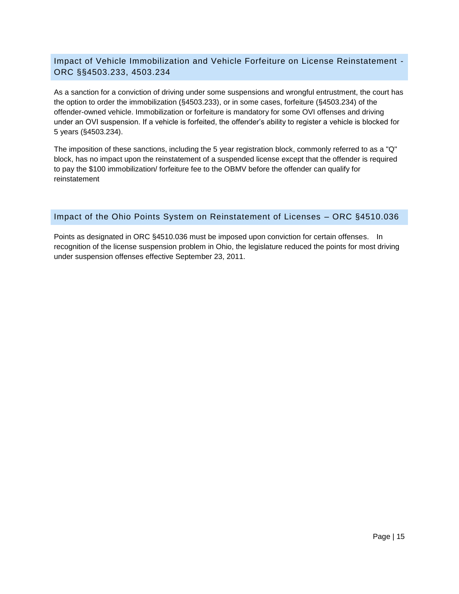#### <span id="page-15-0"></span>Impact of Vehicle Immobilization and Vehicle Forfeiture on License Reinstatement - ORC §§4503.233, 4503.234

As a sanction for a conviction of driving under some suspensions and wrongful entrustment, the court has the option to order the immobilization (§4503.233), or in some cases, forfeiture (§4503.234) of the offender-owned vehicle. Immobilization or forfeiture is mandatory for some OVI offenses and driving under an OVI suspension. If a vehicle is forfeited, the offender's ability to register a vehicle is blocked for 5 years (§4503.234).

The imposition of these sanctions, including the 5 year registration block, commonly referred to as a "Q" block, has no impact upon the reinstatement of a suspended license except that the offender is required to pay the \$100 immobilization/ forfeiture fee to the OBMV before the offender can qualify for reinstatement

#### <span id="page-15-1"></span>Impact of the Ohio Points System on Reinstatement of Licenses – ORC §4510.036

Points as designated in ORC §4510.036 must be imposed upon conviction for certain offenses. In recognition of the license suspension problem in Ohio, the legislature reduced the points for most driving under suspension offenses effective September 23, 2011.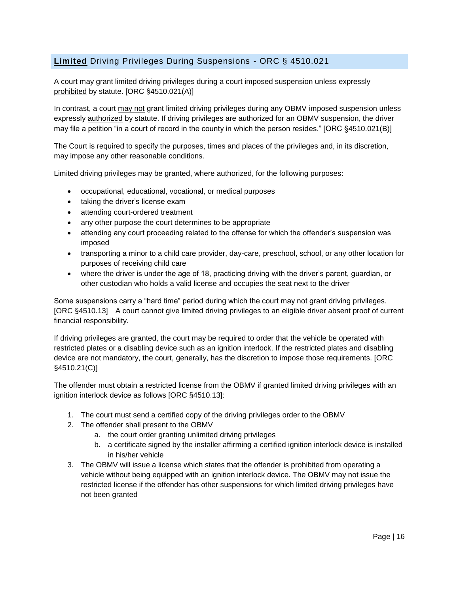# <span id="page-16-0"></span>**Limited** Driving Privileges During Suspensions - ORC § 4510.021

A court may grant limited driving privileges during a court imposed suspension unless expressly prohibited by statute. [ORC §4510.021(A)]

In contrast, a court may not grant limited driving privileges during any OBMV imposed suspension unless expressly authorized by statute. If driving privileges are authorized for an OBMV suspension, the driver may file a petition "in a court of record in the county in which the person resides." [ORC §4510.021(B)]

The Court is required to specify the purposes, times and places of the privileges and, in its discretion, may impose any other reasonable conditions.

Limited driving privileges may be granted, where authorized, for the following purposes:

- occupational, educational, vocational, or medical purposes
- taking the driver's license exam
- attending court-ordered treatment
- any other purpose the court determines to be appropriate
- attending any court proceeding related to the offense for which the offender's suspension was imposed
- transporting a minor to a child care provider, day-care, preschool, school, or any other location for purposes of receiving child care
- where the driver is under the age of 18, practicing driving with the driver's parent, guardian, or other custodian who holds a valid license and occupies the seat next to the driver

Some suspensions carry a "hard time" period during which the court may not grant driving privileges. [ORC §4510.13] A court cannot give limited driving privileges to an eligible driver absent proof of current financial responsibility.

If driving privileges are granted, the court may be required to order that the vehicle be operated with restricted plates or a disabling device such as an ignition interlock. If the restricted plates and disabling device are not mandatory, the court, generally, has the discretion to impose those requirements. [ORC §4510.21(C)]

The offender must obtain a restricted license from the OBMV if granted limited driving privileges with an ignition interlock device as follows [ORC §4510.13]:

- 1. The court must send a certified copy of the driving privileges order to the OBMV
- 2. The offender shall present to the OBMV
	- a. the court order granting unlimited driving privileges
	- b. a certificate signed by the installer affirming a certified ignition interlock device is installed in his/her vehicle
- 3. The OBMV will issue a license which states that the offender is prohibited from operating a vehicle without being equipped with an ignition interlock device. The OBMV may not issue the restricted license if the offender has other suspensions for which limited driving privileges have not been granted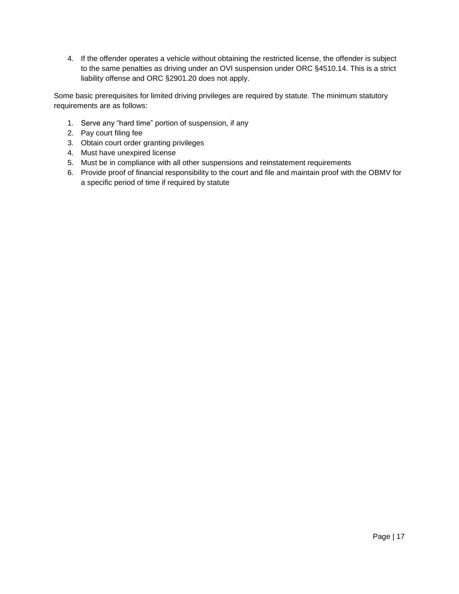4. If the offender operates a vehicle without obtaining the restricted license, the offender is subject to the same penalties as driving under an OVI suspension under ORC §4510.14. This is a strict liability offense and ORC §2901.20 does not apply.

Some basic prerequisites for limited driving privileges are required by statute. The minimum statutory requirements are as follows:

- 1. Serve any "hard time" portion of suspension, if any
- 2. Pay court filing fee
- 3. Obtain court order granting privileges
- 4. Must have unexpired license
- 5. Must be in compliance with all other suspensions and reinstatement requirements
- 6. Provide proof of financial responsibility to the court and file and maintain proof with the OBMV for a specific period of time if required by statute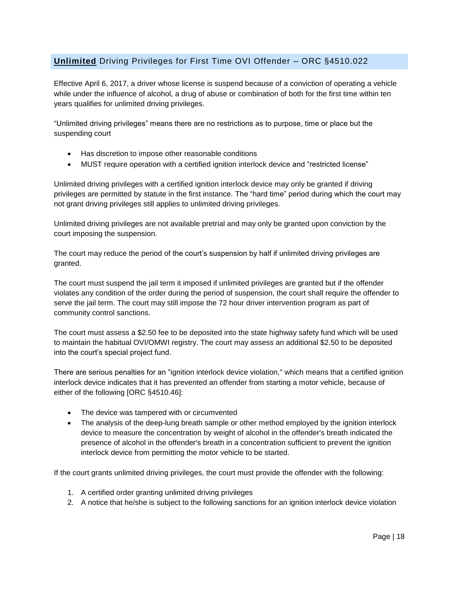# <span id="page-18-0"></span>**Unlimited** Driving Privileges for First Time OVI Offender – ORC §4510.022

Effective April 6, 2017, a driver whose license is suspend because of a conviction of operating a vehicle while under the influence of alcohol, a drug of abuse or combination of both for the first time within ten years qualifies for unlimited driving privileges.

"Unlimited driving privileges" means there are no restrictions as to purpose, time or place but the suspending court

- Has discretion to impose other reasonable conditions
- MUST require operation with a certified ignition interlock device and "restricted license"

Unlimited driving privileges with a certified ignition interlock device may only be granted if driving privileges are permitted by statute in the first instance. The "hard time" period during which the court may not grant driving privileges still applies to unlimited driving privileges.

Unlimited driving privileges are not available pretrial and may only be granted upon conviction by the court imposing the suspension.

The court may reduce the period of the court's suspension by half if unlimited driving privileges are granted.

The court must suspend the jail term it imposed if unlimited privileges are granted but if the offender violates any condition of the order during the period of suspension, the court shall require the offender to serve the jail term. The court may still impose the 72 hour driver intervention program as part of community control sanctions.

The court must assess a \$2.50 fee to be deposited into the state highway safety fund which will be used to maintain the habitual OVI/OMWI registry. The court may assess an additional \$2.50 to be deposited into the court's special project fund.

There are serious penalties for an "ignition interlock device violation," which means that a certified ignition interlock device indicates that it has prevented an offender from starting a motor vehicle, because of either of the following [ORC §4510.46]:

- The device was tampered with or circumvented
- The analysis of the deep-lung breath sample or other method employed by the ignition interlock device to measure the concentration by weight of alcohol in the offender's breath indicated the presence of alcohol in the offender's breath in a concentration sufficient to prevent the ignition interlock device from permitting the motor vehicle to be started.

If the court grants unlimited driving privileges, the court must provide the offender with the following:

- 1. A certified order granting unlimited driving privileges
- 2. A notice that he/she is subject to the following sanctions for an ignition interlock device violation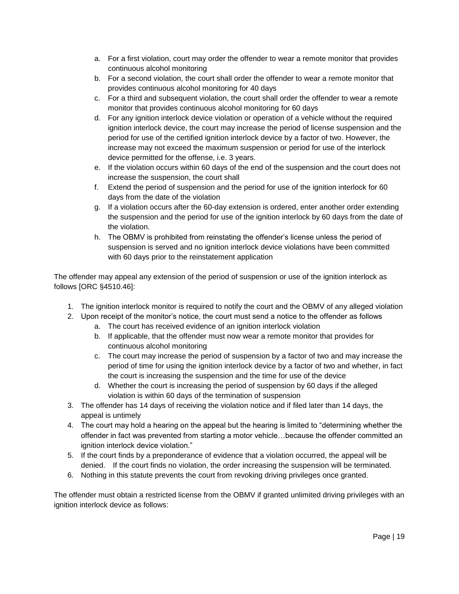- a. For a first violation, court may order the offender to wear a remote monitor that provides continuous alcohol monitoring
- b. For a second violation, the court shall order the offender to wear a remote monitor that provides continuous alcohol monitoring for 40 days
- c. For a third and subsequent violation, the court shall order the offender to wear a remote monitor that provides continuous alcohol monitoring for 60 days
- d. For any ignition interlock device violation or operation of a vehicle without the required ignition interlock device, the court may increase the period of license suspension and the period for use of the certified ignition interlock device by a factor of two. However, the increase may not exceed the maximum suspension or period for use of the interlock device permitted for the offense, i.e. 3 years.
- e. If the violation occurs within 60 days of the end of the suspension and the court does not increase the suspension, the court shall
- f. Extend the period of suspension and the period for use of the ignition interlock for 60 days from the date of the violation
- g. If a violation occurs after the 60-day extension is ordered, enter another order extending the suspension and the period for use of the ignition interlock by 60 days from the date of the violation.
- h. The OBMV is prohibited from reinstating the offender's license unless the period of suspension is served and no ignition interlock device violations have been committed with 60 days prior to the reinstatement application

The offender may appeal any extension of the period of suspension or use of the ignition interlock as follows [ORC §4510.46]:

- 1. The ignition interlock monitor is required to notify the court and the OBMV of any alleged violation
- 2. Upon receipt of the monitor's notice, the court must send a notice to the offender as follows
	- a. The court has received evidence of an ignition interlock violation
	- b. If applicable, that the offender must now wear a remote monitor that provides for continuous alcohol monitoring
	- c. The court may increase the period of suspension by a factor of two and may increase the period of time for using the ignition interlock device by a factor of two and whether, in fact the court is increasing the suspension and the time for use of the device
	- d. Whether the court is increasing the period of suspension by 60 days if the alleged violation is within 60 days of the termination of suspension
- 3. The offender has 14 days of receiving the violation notice and if filed later than 14 days, the appeal is untimely
- 4. The court may hold a hearing on the appeal but the hearing is limited to "determining whether the offender in fact was prevented from starting a motor vehicle…because the offender committed an ignition interlock device violation."
- 5. If the court finds by a preponderance of evidence that a violation occurred, the appeal will be denied. If the court finds no violation, the order increasing the suspension will be terminated.
- 6. Nothing in this statute prevents the court from revoking driving privileges once granted.

The offender must obtain a restricted license from the OBMV if granted unlimited driving privileges with an ignition interlock device as follows: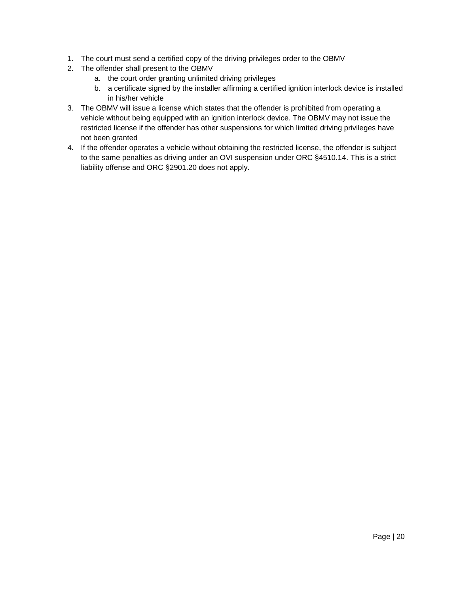- 1. The court must send a certified copy of the driving privileges order to the OBMV
- 2. The offender shall present to the OBMV
	- a. the court order granting unlimited driving privileges
	- b. a certificate signed by the installer affirming a certified ignition interlock device is installed in his/her vehicle
- 3. The OBMV will issue a license which states that the offender is prohibited from operating a vehicle without being equipped with an ignition interlock device. The OBMV may not issue the restricted license if the offender has other suspensions for which limited driving privileges have not been granted
- 4. If the offender operates a vehicle without obtaining the restricted license, the offender is subject to the same penalties as driving under an OVI suspension under ORC §4510.14. This is a strict liability offense and ORC §2901.20 does not apply.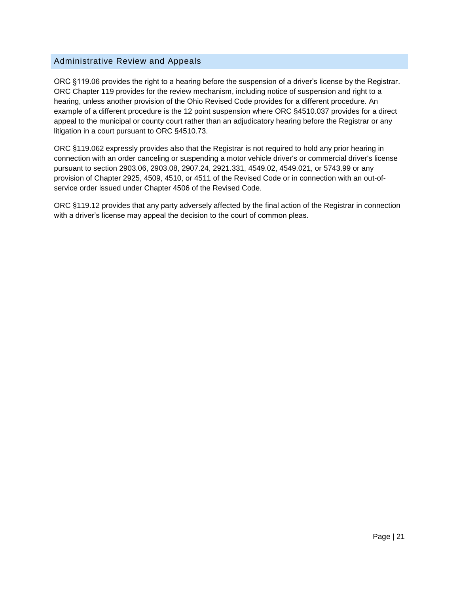#### <span id="page-21-0"></span>Administrative Review and Appeals

ORC §119.06 provides the right to a hearing before the suspension of a driver's license by the Registrar. ORC Chapter 119 provides for the review mechanism, including notice of suspension and right to a hearing, unless another provision of the Ohio Revised Code provides for a different procedure. An example of a different procedure is the 12 point suspension where ORC §4510.037 provides for a direct appeal to the municipal or county court rather than an adjudicatory hearing before the Registrar or any litigation in a court pursuant to ORC §4510.73.

ORC §119.062 expressly provides also that the Registrar is not required to hold any prior hearing in connection with an order canceling or suspending a motor vehicle driver's or commercial driver's license pursuant to section 2903.06, 2903.08, 2907.24, 2921.331, 4549.02, 4549.021, or 5743.99 or any provision of Chapter 2925, 4509, 4510, or 4511 of the Revised Code or in connection with an out-ofservice order issued under Chapter 4506 of the Revised Code.

ORC §119.12 provides that any party adversely affected by the final action of the Registrar in connection with a driver's license may appeal the decision to the court of common pleas.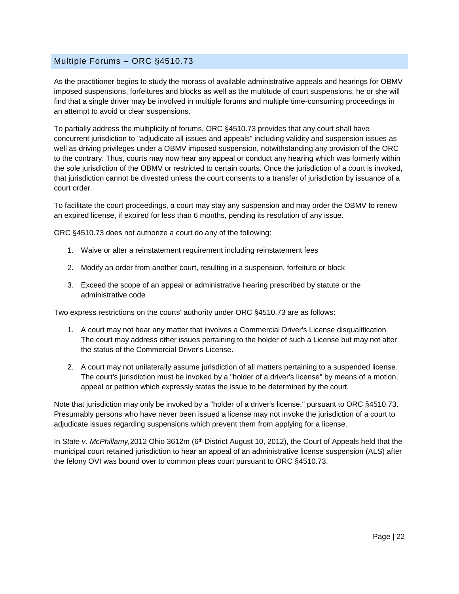#### <span id="page-22-0"></span>Multiple Forums – ORC §4510.73

As the practitioner begins to study the morass of available administrative appeals and hearings for OBMV imposed suspensions, forfeitures and blocks as well as the multitude of court suspensions, he or she will find that a single driver may be involved in multiple forums and multiple time-consuming proceedings in an attempt to avoid or clear suspensions.

To partially address the multiplicity of forums, ORC §4510.73 provides that any court shall have concurrent jurisdiction to "adjudicate all issues and appeals" including validity and suspension issues as well as driving privileges under a OBMV imposed suspension, notwithstanding any provision of the ORC to the contrary. Thus, courts may now hear any appeal or conduct any hearing which was formerly within the sole jurisdiction of the OBMV or restricted to certain courts. Once the jurisdiction of a court is invoked, that jurisdiction cannot be divested unless the court consents to a transfer of jurisdiction by issuance of a court order.

To facilitate the court proceedings, a court may stay any suspension and may order the OBMV to renew an expired license, if expired for less than 6 months, pending its resolution of any issue.

ORC §4510.73 does not authorize a court do any of the following:

- 1. Waive or alter a reinstatement requirement including reinstatement fees
- 2. Modify an order from another court, resulting in a suspension, forfeiture or block
- 3. Exceed the scope of an appeal or administrative hearing prescribed by statute or the administrative code

Two express restrictions on the courts' authority under ORC §4510.73 are as follows:

- 1. A court may not hear any matter that involves a Commercial Driver's License disqualification. The court may address other issues pertaining to the holder of such a License but may not alter the status of the Commercial Driver's License.
- 2. A court may not unilaterally assume jurisdiction of all matters pertaining to a suspended license. The court's jurisdiction must be invoked by a "holder of a driver's license" by means of a motion, appeal or petition which expressly states the issue to be determined by the court.

Note that jurisdiction may only be invoked by a "holder of a driver's license," pursuant to ORC §4510.73. Presumably persons who have never been issued a license may not invoke the jurisdiction of a court to adjudicate issues regarding suspensions which prevent them from applying for a license.

In *State v, McPhillamy,2012 Ohio 3612m* (6<sup>th</sup> District August 10, 2012), the Court of Appeals held that the municipal court retained jurisdiction to hear an appeal of an administrative license suspension (ALS) after the felony OVI was bound over to common pleas court pursuant to ORC §4510.73.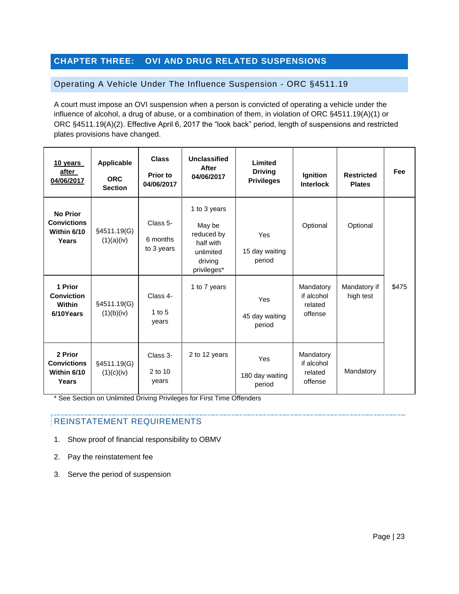# <span id="page-23-0"></span>**CHAPTER THREE: OVI AND DRUG RELATED SUSPENSIONS**

#### <span id="page-23-1"></span>Operating A Vehicle Under The Influence Suspension - ORC §4511.19

A court must impose an OVI suspension when a person is convicted of operating a vehicle under the influence of alcohol, a drug of abuse, or a combination of them, in violation of ORC §4511.19(A)(1) or ORC §4511.19(A)(2). Effective April 6, 2017 the "look back" period, length of suspensions and restricted plates provisions have changed.

| 10 years<br>after<br>04/06/2017                               | Applicable<br><b>ORC</b><br><b>Section</b> | <b>Class</b><br>Prior to<br>04/06/2017 | Unclassified<br>After<br>04/06/2017                                                      | Limited<br><b>Driving</b><br><b>Privileges</b> | Ignition<br><b>Interlock</b>                  | <b>Restricted</b><br><b>Plates</b> | Fee   |
|---------------------------------------------------------------|--------------------------------------------|----------------------------------------|------------------------------------------------------------------------------------------|------------------------------------------------|-----------------------------------------------|------------------------------------|-------|
| <b>No Prior</b><br><b>Convictions</b><br>Within 6/10<br>Years | §4511.19(G)<br>(1)(a)(iv)                  | Class 5-<br>6 months<br>to 3 years     | 1 to 3 years<br>May be<br>reduced by<br>half with<br>unlimited<br>driving<br>privileges* | Yes<br>15 day waiting<br>period                | Optional                                      | Optional                           |       |
| 1 Prior<br><b>Conviction</b><br>Within<br>6/10Years           | §4511.19(G)<br>(1)(b)(iv)                  | Class 4-<br>$1$ to $5$<br>years        | 1 to 7 years                                                                             | Yes<br>45 day waiting<br>period                | Mandatory<br>if alcohol<br>related<br>offense | Mandatory if<br>high test          | \$475 |
| 2 Prior<br><b>Convictions</b><br>Within 6/10<br>Years         | §4511.19(G)<br>(1)(c)(iv)                  | Class 3-<br>2 to 10<br>years           | 2 to 12 years                                                                            | Yes<br>180 day waiting<br>period               | Mandatory<br>if alcohol<br>related<br>offense | Mandatory                          |       |

\* See Section on Unlimited Driving Privileges for First Time Offenders

- 1.Show proof of financial responsibility to OBMV
- 2. Pay the reinstatement fee
- 3. Serve the period of suspension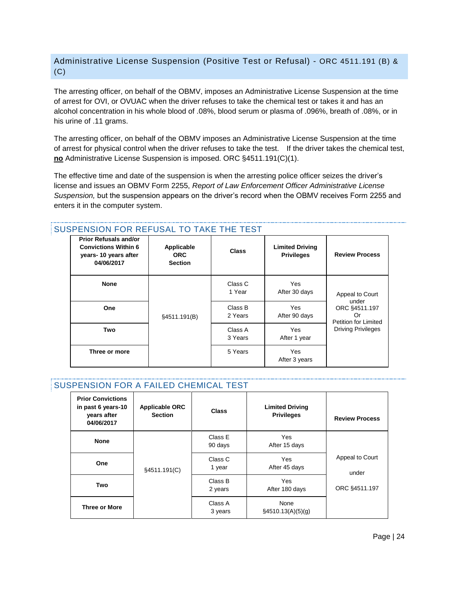# <span id="page-24-0"></span>Administrative License Suspension (Positive Test or Refusal) - ORC 4511.191 (B) & (C)

The arresting officer, on behalf of the OBMV, imposes an Administrative License Suspension at the time of arrest for OVI, or OVUAC when the driver refuses to take the chemical test or takes it and has an alcohol concentration in his whole blood of .08%, blood serum or plasma of .096%, breath of .08%, or in his urine of .11 grams.

The arresting officer, on behalf of the OBMV imposes an Administrative License Suspension at the time of arrest for physical control when the driver refuses to take the test. If the driver takes the chemical test, **no** Administrative License Suspension is imposed. ORC §4511.191(C)(1).

The effective time and date of the suspension is when the arresting police officer seizes the driver's license and issues an OBMV Form 2255, *Report of Law Enforcement Officer Administrative License Suspension,* but the suspension appears on the driver's record when the OBMV receives Form 2255 and enters it in the computer system.

| <b>Prior Refusals and/or</b><br><b>Convictions Within 6</b><br>years-10 years after<br>04/06/2017 | Applicable<br><b>ORC</b><br><b>Section</b> | <b>Class</b>       | <b>Limited Driving</b><br><b>Privileges</b> | <b>Review Process</b>                                       |
|---------------------------------------------------------------------------------------------------|--------------------------------------------|--------------------|---------------------------------------------|-------------------------------------------------------------|
| <b>None</b>                                                                                       |                                            | Class C<br>1 Year  | Yes<br>After 30 days                        | Appeal to Court                                             |
| <b>One</b>                                                                                        | §4511.191(B)                               | Class B<br>2 Years | Yes<br>After 90 days                        | under<br>ORC §4511.197<br>Or<br><b>Petition for Limited</b> |
| Two                                                                                               |                                            | Class A<br>3 Years | Yes<br>After 1 year                         | <b>Driving Privileges</b>                                   |
| Three or more                                                                                     |                                            | 5 Years            | Yes<br>After 3 years                        |                                                             |

# SUSPENSION FOR REFUSAL TO TAKE THE TEST

#### SUSPENSION FOR A FAILED CHEMICAL TEST

| <b>Prior Convictions</b><br>in past 6 years-10<br>vears after<br>04/06/2017 | <b>Applicable ORC</b><br><b>Section</b> | Class              | <b>Limited Driving</b><br><b>Privileges</b> | <b>Review Process</b>    |
|-----------------------------------------------------------------------------|-----------------------------------------|--------------------|---------------------------------------------|--------------------------|
| <b>None</b>                                                                 |                                         | Class E<br>90 days | <b>Yes</b><br>After 15 days                 |                          |
| One                                                                         | §4511.191(C)                            | Class C<br>1 year  | Yes<br>After 45 days                        | Appeal to Court<br>under |
| Two                                                                         |                                         | Class B<br>2 years | Yes<br>After 180 days                       | ORC §4511.197            |
| <b>Three or More</b>                                                        |                                         | Class A<br>3 years | None<br>$\S$ 4510.13(A)(5)(g)               |                          |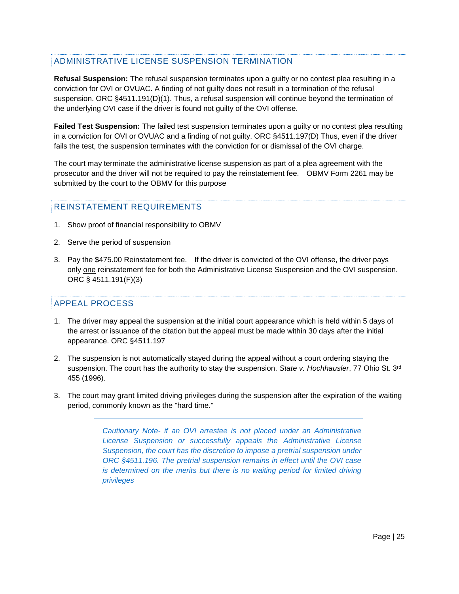# ADMINISTRATIVE LICENSE SUSPENSION TERMINATION

**Refusal Suspension:** The refusal suspension terminates upon a guilty or no contest plea resulting in a conviction for OVI or OVUAC. A finding of not guilty does not result in a termination of the refusal suspension. ORC §4511.191(D)(1). Thus, a refusal suspension will continue beyond the termination of the underlying OVI case if the driver is found not guilty of the OVI offense.

**Failed Test Suspension:** The failed test suspension terminates upon a guilty or no contest plea resulting in a conviction for OVI or OVUAC and a finding of not guilty. ORC §4511.197(D) Thus, even if the driver fails the test, the suspension terminates with the conviction for or dismissal of the OVI charge.

The court may terminate the administrative license suspension as part of a plea agreement with the prosecutor and the driver will not be required to pay the reinstatement fee. OBMV Form 2261 may be submitted by the court to the OBMV for this purpose

#### REINSTATEMENT REQUIREMENTS

- 1. Show proof of financial responsibility to OBMV
- 2. Serve the period of suspension
- 3. Pay the \$475.00 Reinstatement fee. If the driver is convicted of the OVI offense, the driver pays only one reinstatement fee for both the Administrative License Suspension and the OVI suspension. ORC § 4511.191(F)(3)

#### APPEAL PROCESS

- 1. The driver may appeal the suspension at the initial court appearance which is held within 5 days of the arrest or issuance of the citation but the appeal must be made within 30 days after the initial appearance. ORC §4511.197
- 2. The suspension is not automatically stayed during the appeal without a court ordering staying the suspension. The court has the authority to stay the suspension. *State v. Hochhausler*, 77 Ohio St. 3rd 455 (1996).
- 3. The court may grant limited driving privileges during the suspension after the expiration of the waiting period, commonly known as the "hard time."

*Cautionary Note- if an OVI arrestee is not placed under an Administrative License Suspension or successfully appeals the Administrative License Suspension, the court has the discretion to impose a pretrial suspension under ORC §4511.196. The pretrial suspension remains in effect until the OVI case is determined on the merits but there is no waiting period for limited driving privileges*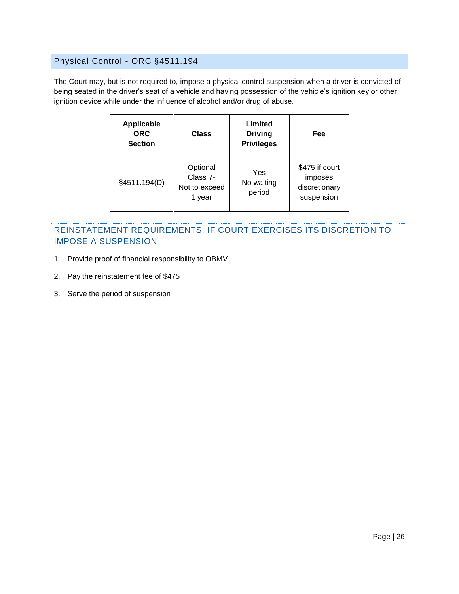# <span id="page-26-0"></span>Physical Control - ORC §4511.194

The Court may, but is not required to, impose a physical control suspension when a driver is convicted of being seated in the driver's seat of a vehicle and having possession of the vehicle's ignition key or other ignition device while under the influence of alcohol and/or drug of abuse.

| <b>Applicable</b><br><b>ORC</b><br><b>Section</b> | Class                                           |                             | Fee                                                      |
|---------------------------------------------------|-------------------------------------------------|-----------------------------|----------------------------------------------------------|
| §4511.194(D)                                      | Optional<br>Class 7-<br>Not to exceed<br>1 year | Yes<br>No waiting<br>period | \$475 if court<br>imposes<br>discretionary<br>suspension |

# REINSTATEMENT REQUIREMENTS, IF COURT EXERCISES ITS DISCRETION TO IMPOSE A SUSPENSION

- 1. Provide proof of financial responsibility to OBMV
- 2. Pay the reinstatement fee of \$475
- 3. Serve the period of suspension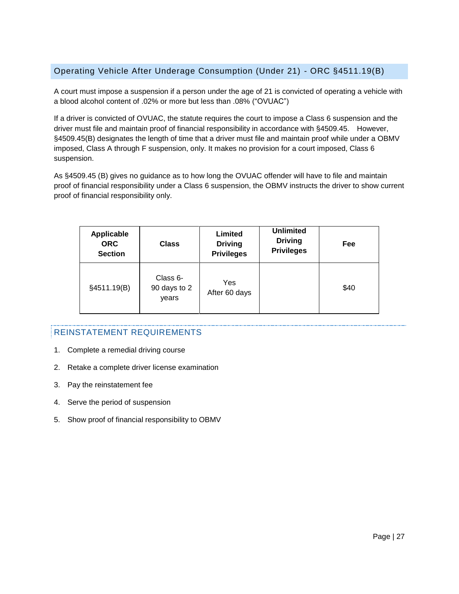# <span id="page-27-0"></span>Operating Vehicle After Underage Consumption (Under 21) - ORC §4511.19(B)

A court must impose a suspension if a person under the age of 21 is convicted of operating a vehicle with a blood alcohol content of .02% or more but less than .08% ("OVUAC")

If a driver is convicted of OVUAC, the statute requires the court to impose a Class 6 suspension and the driver must file and maintain proof of financial responsibility in accordance with §4509.45. However, §4509.45(B) designates the length of time that a driver must file and maintain proof while under a OBMV imposed, Class A through F suspension, only. It makes no provision for a court imposed, Class 6 suspension.

As §4509.45 (B) gives no guidance as to how long the OVUAC offender will have to file and maintain proof of financial responsibility under a Class 6 suspension, the OBMV instructs the driver to show current proof of financial responsibility only.

| <b>Applicable</b><br><b>ORC</b><br><b>Section</b> | <b>Class</b>                      | Limited<br><b>Driving</b><br><b>Privileges</b> | <b>Unlimited</b><br><b>Driving</b><br><b>Privileges</b> | Fee  |
|---------------------------------------------------|-----------------------------------|------------------------------------------------|---------------------------------------------------------|------|
| §4511.19(B)                                       | Class 6-<br>90 days to 2<br>years | Yes<br>After 60 days                           |                                                         | \$40 |

- 1. Complete a remedial driving course
- 2. Retake a complete driver license examination
- 3. Pay the reinstatement fee
- 4. Serve the period of suspension
- 5. Show proof of financial responsibility to OBMV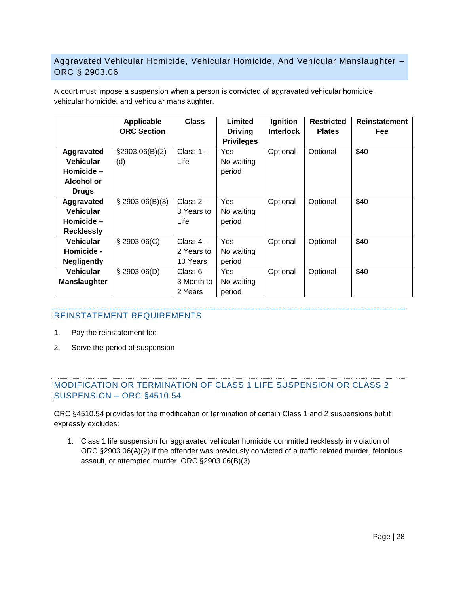# <span id="page-28-0"></span>Aggravated Vehicular Homicide, Vehicular Homicide, And Vehicular Manslaughter – ORC § 2903.06

A court must impose a suspension when a person is convicted of aggravated vehicular homicide, vehicular homicide, and vehicular manslaughter.

|                     | Applicable         | <b>Class</b> | Limited           | Ignition         | <b>Restricted</b> | <b>Reinstatement</b> |
|---------------------|--------------------|--------------|-------------------|------------------|-------------------|----------------------|
|                     | <b>ORC Section</b> |              | <b>Driving</b>    | <b>Interlock</b> | <b>Plates</b>     | Fee                  |
|                     |                    |              | <b>Privileges</b> |                  |                   |                      |
| Aggravated          | $\S2903.06(B)(2)$  | Class $1 -$  | Yes               | Optional         | Optional          | \$40                 |
| <b>Vehicular</b>    | (d)                | Life         | No waiting        |                  |                   |                      |
| Homicide -          |                    |              | period            |                  |                   |                      |
| Alcohol or          |                    |              |                   |                  |                   |                      |
| <b>Drugs</b>        |                    |              |                   |                  |                   |                      |
| Aggravated          | \$2903.06(B)(3)    | Class $2-$   | Yes               | Optional         | Optional          | \$40                 |
| <b>Vehicular</b>    |                    | 3 Years to   | No waiting        |                  |                   |                      |
| Homicide -          |                    | Life         | period            |                  |                   |                      |
| <b>Recklessly</b>   |                    |              |                   |                  |                   |                      |
| <b>Vehicular</b>    | $\S$ 2903.06(C)    | Class $4-$   | Yes               | Optional         | Optional          | \$40                 |
| Homicide -          |                    | 2 Years to   | No waiting        |                  |                   |                      |
| <b>Negligently</b>  |                    | 10 Years     | period            |                  |                   |                      |
| <b>Vehicular</b>    | $\S$ 2903.06(D)    | Class $6-$   | Yes               | Optional         | Optional          | \$40                 |
| <b>Manslaughter</b> |                    | 3 Month to   | No waiting        |                  |                   |                      |
|                     |                    | 2 Years      | period            |                  |                   |                      |

#### REINSTATEMENT REQUIREMENTS

- 1. Pay the reinstatement fee
- 2. Serve the period of suspension

# MODIFICATION OR TERMINATION OF CLASS 1 LIFE SUSPENSION OR CLASS 2 SUSPENSION – ORC §4510.54

ORC §4510.54 provides for the modification or termination of certain Class 1 and 2 suspensions but it expressly excludes:

1. Class 1 life suspension for aggravated vehicular homicide committed recklessly in violation of ORC §2903.06(A)(2) if the offender was previously convicted of a traffic related murder, felonious assault, or attempted murder. ORC §2903.06(B)(3)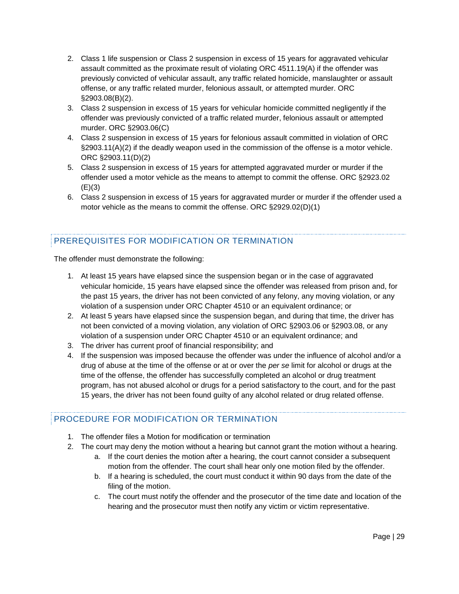- 2. Class 1 life suspension or Class 2 suspension in excess of 15 years for aggravated vehicular assault committed as the proximate result of violating ORC 4511.19(A) if the offender was previously convicted of vehicular assault, any traffic related homicide, manslaughter or assault offense, or any traffic related murder, felonious assault, or attempted murder. ORC §2903.08(B)(2).
- 3. Class 2 suspension in excess of 15 years for vehicular homicide committed negligently if the offender was previously convicted of a traffic related murder, felonious assault or attempted murder. ORC §2903.06(C)
- 4. Class 2 suspension in excess of 15 years for felonious assault committed in violation of ORC §2903.11(A)(2) if the deadly weapon used in the commission of the offense is a motor vehicle. ORC §2903.11(D)(2)
- 5. Class 2 suspension in excess of 15 years for attempted aggravated murder or murder if the offender used a motor vehicle as the means to attempt to commit the offense. ORC §2923.02  $(E)(3)$
- 6. Class 2 suspension in excess of 15 years for aggravated murder or murder if the offender used a motor vehicle as the means to commit the offense. ORC §2929.02(D)(1)

# PREREQUISITES FOR MODIFICATION OR TERMINATION

The offender must demonstrate the following:

- 1. At least 15 years have elapsed since the suspension began or in the case of aggravated vehicular homicide, 15 years have elapsed since the offender was released from prison and, for the past 15 years, the driver has not been convicted of any felony, any moving violation, or any violation of a suspension under ORC Chapter 4510 or an equivalent ordinance; or
- 2. At least 5 years have elapsed since the suspension began, and during that time, the driver has not been convicted of a moving violation, any violation of ORC §2903.06 or §2903.08, or any violation of a suspension under ORC Chapter 4510 or an equivalent ordinance; and
- 3. The driver has current proof of financial responsibility; and
- 4. If the suspension was imposed because the offender was under the influence of alcohol and/or a drug of abuse at the time of the offense or at or over the *per se* limit for alcohol or drugs at the time of the offense, the offender has successfully completed an alcohol or drug treatment program, has not abused alcohol or drugs for a period satisfactory to the court, and for the past 15 years, the driver has not been found guilty of any alcohol related or drug related offense.

# PROCEDURE FOR MODIFICATION OR TERMINATION

- 1. The offender files a Motion for modification or termination
- 2. The court may deny the motion without a hearing but cannot grant the motion without a hearing.
	- a. If the court denies the motion after a hearing, the court cannot consider a subsequent motion from the offender. The court shall hear only one motion filed by the offender.
	- b. If a hearing is scheduled, the court must conduct it within 90 days from the date of the filing of the motion.
	- c. The court must notify the offender and the prosecutor of the time date and location of the hearing and the prosecutor must then notify any victim or victim representative.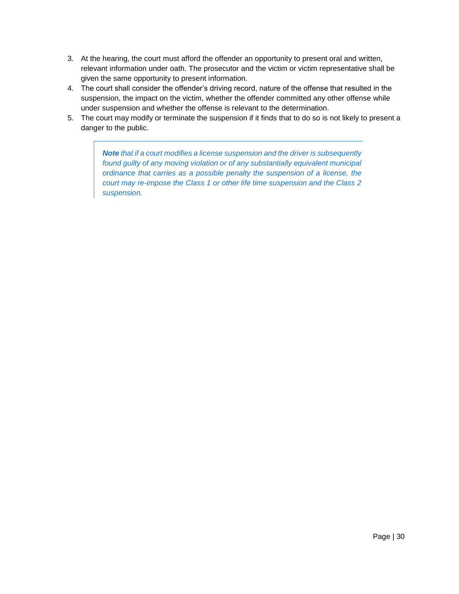- 3. At the hearing, the court must afford the offender an opportunity to present oral and written, relevant information under oath. The prosecutor and the victim or victim representative shall be given the same opportunity to present information.
- 4. The court shall consider the offender's driving record, nature of the offense that resulted in the suspension, the impact on the victim, whether the offender committed any other offense while under suspension and whether the offense is relevant to the determination.
- 5. The court may modify or terminate the suspension if it finds that to do so is not likely to present a danger to the public.

*Note that if a court modifies a license suspension and the driver is subsequently found guilty of any moving violation or of any substantially equivalent municipal ordinance that carries as a possible penalty the suspension of a license, the court may re-impose the Class 1 or other life time suspension and the Class 2 suspension.*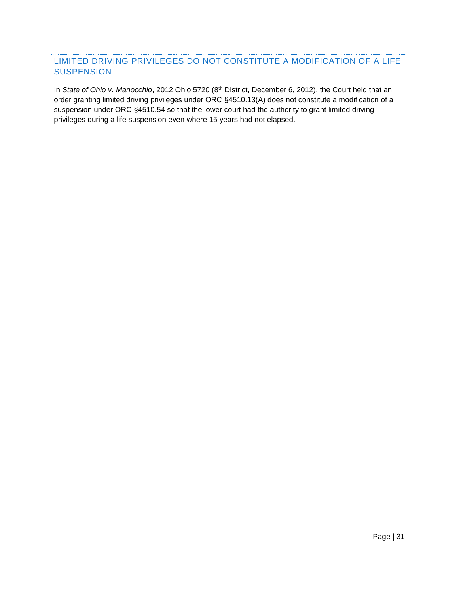# LIMITED DRIVING PRIVILEGES DO NOT CONSTITUTE A MODIFICATION OF A LIFE **SUSPENSION**

In *State of Ohio v. Manocchio*, 2012 Ohio 5720 (8<sup>th</sup> District, December 6, 2012), the Court held that an order granting limited driving privileges under ORC §4510.13(A) does not constitute a modification of a suspension under ORC §4510.54 so that the lower court had the authority to grant limited driving privileges during a life suspension even where 15 years had not elapsed.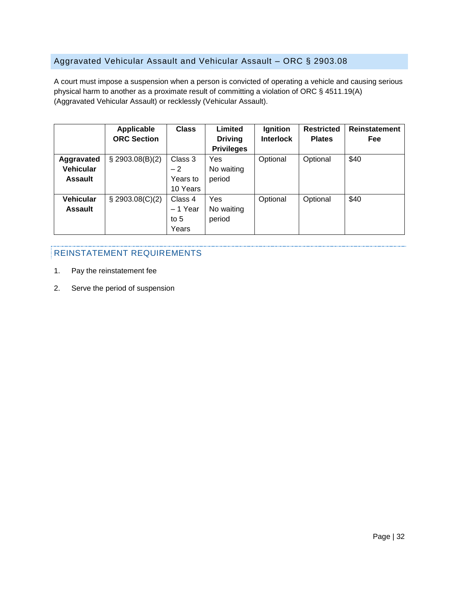# <span id="page-32-0"></span>Aggravated Vehicular Assault and Vehicular Assault – ORC § 2903.08

A court must impose a suspension when a person is convicted of operating a vehicle and causing serious physical harm to another as a proximate result of committing a violation of ORC § 4511.19(A) (Aggravated Vehicular Assault) or recklessly (Vehicular Assault).

|                  | Applicable         | <b>Class</b> | Limited           | Ignition         | <b>Restricted</b> | <b>Reinstatement</b> |
|------------------|--------------------|--------------|-------------------|------------------|-------------------|----------------------|
|                  | <b>ORC Section</b> |              | <b>Driving</b>    | <b>Interlock</b> | <b>Plates</b>     | Fee                  |
|                  |                    |              | <b>Privileges</b> |                  |                   |                      |
| Aggravated       | \$2903.08(B)(2)    | Class 3      | Yes               | Optional         | Optional          | \$40                 |
| <b>Vehicular</b> |                    | $-2$         | No waiting        |                  |                   |                      |
| <b>Assault</b>   |                    | Years to     | period            |                  |                   |                      |
|                  |                    | 10 Years     |                   |                  |                   |                      |
| <b>Vehicular</b> | $\S$ 2903.08(C)(2) | Class 4      | Yes               | Optional         | Optional          | \$40                 |
| <b>Assault</b>   |                    | $-1$ Year    | No waiting        |                  |                   |                      |
|                  |                    | to $5$       | period            |                  |                   |                      |
|                  |                    | Years        |                   |                  |                   |                      |

- 1. Pay the reinstatement fee
- 2. Serve the period of suspension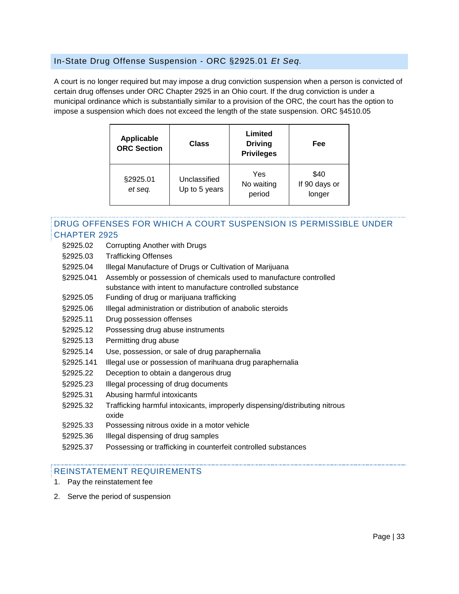#### <span id="page-33-0"></span>In-State Drug Offense Suspension - ORC §2925.01 *Et Seq.*

A court is no longer required but may impose a drug conviction suspension when a person is convicted of certain drug offenses under ORC Chapter 2925 in an Ohio court. If the drug conviction is under a municipal ordinance which is substantially similar to a provision of the ORC, the court has the option to impose a suspension which does not exceed the length of the state suspension. ORC §4510.05

| <b>Applicable</b><br><b>ORC Section</b> | <b>Class</b>                  |                             | Fee                             |
|-----------------------------------------|-------------------------------|-----------------------------|---------------------------------|
| §2925.01<br>et seq.                     | Unclassified<br>Up to 5 years | Yes<br>No waiting<br>period | \$40<br>If 90 days or<br>longer |

#### DRUG OFFENSES FOR WHICH A COURT SUSPENSION IS PERMISSIBLE UNDER CHAPTER 2925

- §2925.02 Corrupting Another with Drugs
- §2925.03 Trafficking Offenses
- §2925.04 Illegal Manufacture of Drugs or Cultivation of Marijuana
- §2925.041 Assembly or possession of chemicals used to manufacture controlled substance with intent to manufacture controlled substance
- §2925.05 Funding of drug or marijuana trafficking
- §2925.06 Illegal administration or distribution of anabolic steroids
- §2925.11 Drug possession offenses
- §2925.12 Possessing drug abuse instruments
- §2925.13 Permitting drug abuse
- §2925.14 Use, possession, or sale of drug paraphernalia
- §2925.141 Illegal use or possession of marihuana drug paraphernalia
- §2925.22 Deception to obtain a dangerous drug
- §2925.23 Illegal processing of drug documents
- §2925.31 Abusing harmful intoxicants
- §2925.32 Trafficking harmful intoxicants, improperly dispensing/distributing nitrous oxide
- §2925.33 Possessing nitrous oxide in a motor vehicle
- §2925.36 Illegal dispensing of drug samples
- §2925.37 Possessing or trafficking in counterfeit controlled substances

- 1. Pay the reinstatement fee
- 2. Serve the period of suspension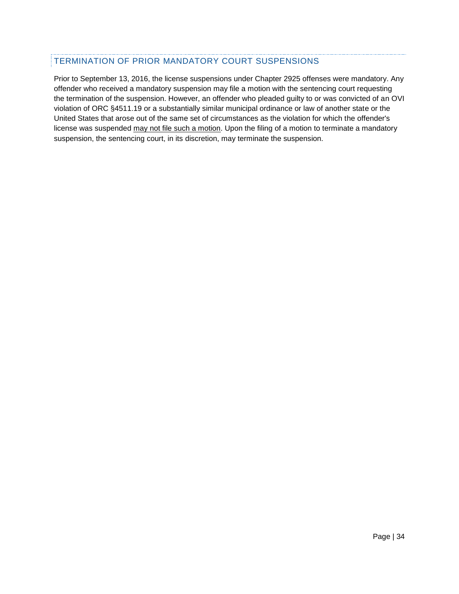# TERMINATION OF PRIOR MANDATORY COURT SUSPENSIONS

Prior to September 13, 2016, the license suspensions under Chapter 2925 offenses were mandatory. Any offender who received a mandatory suspension may file a motion with the sentencing court requesting the termination of the suspension. However, an offender who pleaded guilty to or was convicted of an OVI violation of ORC §4511.19 or a substantially similar municipal ordinance or law of another state or the United States that arose out of the same set of circumstances as the violation for which the offender's license was suspended may not file such a motion. Upon the filing of a motion to terminate a mandatory suspension, the sentencing court, in its discretion, may terminate the suspension.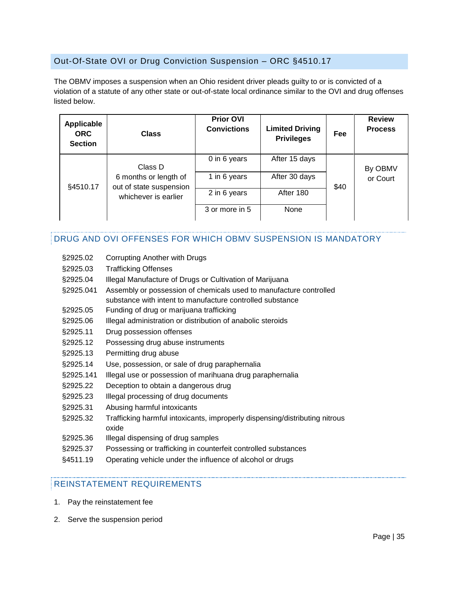# <span id="page-35-0"></span>Out-Of-State OVI or Drug Conviction Suspension – ORC §4510.17

The OBMV imposes a suspension when an Ohio resident driver pleads guilty to or is convicted of a violation of a statute of any other state or out-of-state local ordinance similar to the OVI and drug offenses listed below.

| Applicable<br><b>ORC</b><br><b>Section</b> | <b>Class</b>                                     | <b>Prior OVI</b><br><b>Convictions</b> | <b>Limited Driving</b><br><b>Privileges</b> | Fee  | <b>Review</b><br><b>Process</b> |
|--------------------------------------------|--------------------------------------------------|----------------------------------------|---------------------------------------------|------|---------------------------------|
|                                            | Class D                                          | 0 in 6 years                           | After 15 days                               |      | By OBMV                         |
| §4510.17                                   | 6 months or length of<br>out of state suspension | 1 in 6 years                           | After 30 days                               | \$40 | or Court                        |
|                                            | whichever is earlier                             | 2 in 6 years                           | After 180                                   |      |                                 |
|                                            |                                                  | 3 or more in 5                         | None                                        |      |                                 |

# DRUG AND OVI OFFENSES FOR WHICH OBMV SUSPENSION IS MANDATORY

- §2925.02 Corrupting Another with Drugs
- §2925.03 Trafficking Offenses
- §2925.04 Illegal Manufacture of Drugs or Cultivation of Marijuana
- §2925.041 Assembly or possession of chemicals used to manufacture controlled substance with intent to manufacture controlled substance
- §2925.05 Funding of drug or marijuana trafficking
- §2925.06 Illegal administration or distribution of anabolic steroids
- §2925.11 Drug possession offenses
- §2925.12 Possessing drug abuse instruments
- §2925.13 Permitting drug abuse
- §2925.14 Use, possession, or sale of drug paraphernalia
- §2925.141 Illegal use or possession of marihuana drug paraphernalia
- §2925.22 Deception to obtain a dangerous drug
- §2925.23 Illegal processing of drug documents
- §2925.31 Abusing harmful intoxicants
- §2925.32 Trafficking harmful intoxicants, improperly dispensing/distributing nitrous oxide
- §2925.36 Illegal dispensing of drug samples
- §2925.37 Possessing or trafficking in counterfeit controlled substances
- §4511.19 Operating vehicle under the influence of alcohol or drugs

- 1. Pay the reinstatement fee
- 2. Serve the suspension period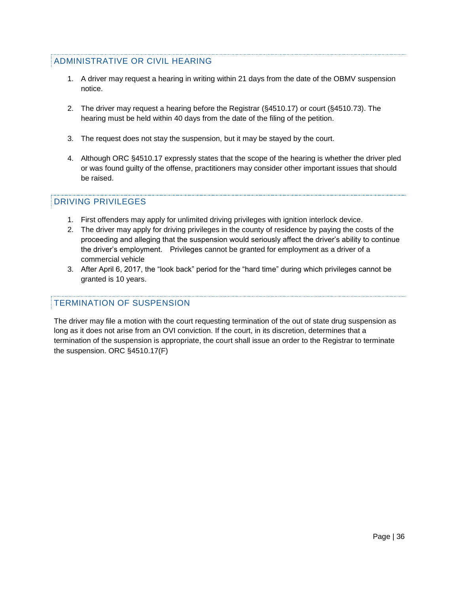# ADMINISTRATIVE OR CIVIL HEARING

- 1. A driver may request a hearing in writing within 21 days from the date of the OBMV suspension notice.
- 2. The driver may request a hearing before the Registrar (§4510.17) or court (§4510.73). The hearing must be held within 40 days from the date of the filing of the petition.
- 3. The request does not stay the suspension, but it may be stayed by the court.
- 4. Although ORC §4510.17 expressly states that the scope of the hearing is whether the driver pled or was found guilty of the offense, practitioners may consider other important issues that should be raised.

#### DRIVING PRIVILEGES

- 1. First offenders may apply for unlimited driving privileges with ignition interlock device.
- 2. The driver may apply for driving privileges in the county of residence by paying the costs of the proceeding and alleging that the suspension would seriously affect the driver's ability to continue the driver's employment. Privileges cannot be granted for employment as a driver of a commercial vehicle
- 3. After April 6, 2017, the "look back" period for the "hard time" during which privileges cannot be granted is 10 years.

# TERMINATION OF SUSPENSION

The driver may file a motion with the court requesting termination of the out of state drug suspension as long as it does not arise from an OVI conviction. If the court, in its discretion, determines that a termination of the suspension is appropriate, the court shall issue an order to the Registrar to terminate the suspension. ORC §4510.17(F)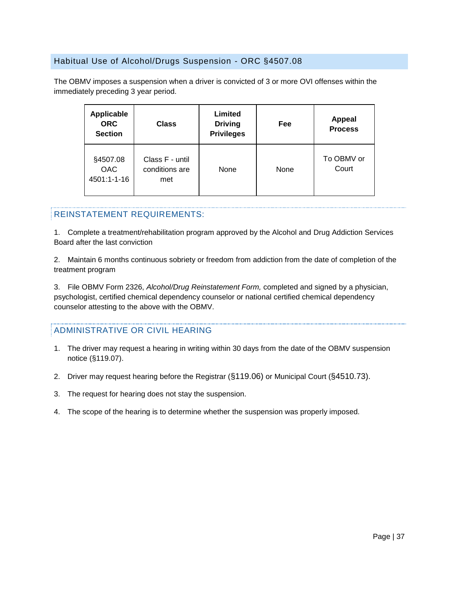# <span id="page-37-0"></span>Habitual Use of Alcohol/Drugs Suspension - ORC §4507.08

The OBMV imposes a suspension when a driver is convicted of 3 or more OVI offenses within the immediately preceding 3 year period.

| <b>Applicable</b><br><b>ORC</b><br><b>Section</b> | Class                                    | Limited<br><b>Driving</b><br><b>Privileges</b> | Fee  | <b>Appeal</b><br><b>Process</b> |
|---------------------------------------------------|------------------------------------------|------------------------------------------------|------|---------------------------------|
| §4507.08<br><b>OAC</b><br>4501:1-1-16             | Class F - until<br>conditions are<br>met | None                                           | None | To OBMV or<br>Court             |

#### REINSTATEMENT REQUIREMENTS:

1. Complete a treatment/rehabilitation program approved by the Alcohol and Drug Addiction Services Board after the last conviction

2. Maintain 6 months continuous sobriety or freedom from addiction from the date of completion of the treatment program

3. File OBMV Form 2326, *Alcohol/Drug Reinstatement Form,* completed and signed by a physician, psychologist, certified chemical dependency counselor or national certified chemical dependency counselor attesting to the above with the OBMV.

# ADMINISTRATIVE OR CIVIL HEARING

- 1. The driver may request a hearing in writing within 30 days from the date of the OBMV suspension notice (§119.07).
- 2. Driver may request hearing before the Registrar (§119.06) or Municipal Court (§4510.73).
- 3. The request for hearing does not stay the suspension.
- 4. The scope of the hearing is to determine whether the suspension was properly imposed.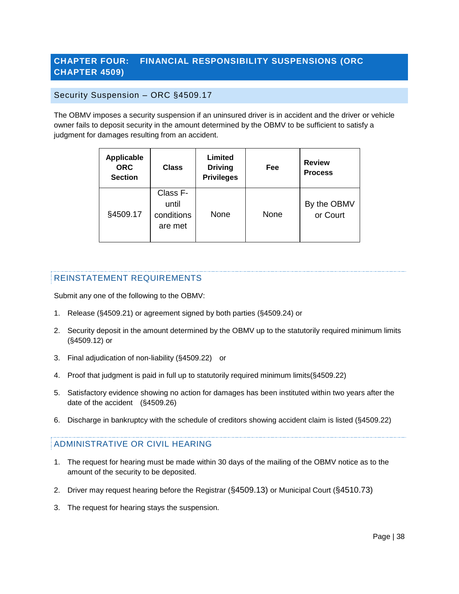# <span id="page-38-0"></span>**CHAPTER FOUR: FINANCIAL RESPONSIBILITY SUSPENSIONS (ORC CHAPTER 4509)**

#### <span id="page-38-1"></span>Security Suspension – ORC §4509.17

The OBMV imposes a security suspension if an uninsured driver is in accident and the driver or vehicle owner fails to deposit security in the amount determined by the OBMV to be sufficient to satisfy a judgment for damages resulting from an accident.

| <b>Applicable</b><br><b>ORC</b><br><b>Section</b> | <b>Class</b>                               | Limited<br><b>Driving</b><br><b>Privileges</b> | Fee  | <b>Review</b><br><b>Process</b> |
|---------------------------------------------------|--------------------------------------------|------------------------------------------------|------|---------------------------------|
| §4509.17                                          | Class F-<br>until<br>conditions<br>are met | None                                           | None | By the OBMV<br>or Court         |

#### REINSTATEMENT REQUIREMENTS

Submit any one of the following to the OBMV:

- 1. Release (§4509.21) or agreement signed by both parties (§4509.24) or
- 2. Security deposit in the amount determined by the OBMV up to the statutorily required minimum limits (§4509.12) or
- 3. Final adjudication of non-liability (§4509.22) or
- 4. Proof that judgment is paid in full up to statutorily required minimum limits(§4509.22)
- 5. Satisfactory evidence showing no action for damages has been instituted within two years after the date of the accident (§4509.26)
- 6. Discharge in bankruptcy with the schedule of creditors showing accident claim is listed (§4509.22)

# ADMINISTRATIVE OR CIVIL HEARING

- 1. The request for hearing must be made within 30 days of the mailing of the OBMV notice as to the amount of the security to be deposited.
- 2. Driver may request hearing before the Registrar (§4509.13) or Municipal Court (§4510.73)
- 3. The request for hearing stays the suspension.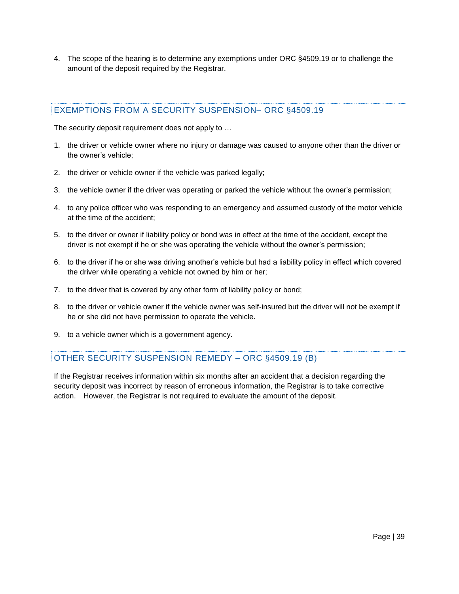4. The scope of the hearing is to determine any exemptions under ORC §4509.19 or to challenge the amount of the deposit required by the Registrar.

# EXEMPTIONS FROM A SECURITY SUSPENSION– ORC §4509.19

The security deposit requirement does not apply to …

- 1. the driver or vehicle owner where no injury or damage was caused to anyone other than the driver or the owner's vehicle;
- 2. the driver or vehicle owner if the vehicle was parked legally;
- 3. the vehicle owner if the driver was operating or parked the vehicle without the owner's permission;
- 4. to any police officer who was responding to an emergency and assumed custody of the motor vehicle at the time of the accident;
- 5. to the driver or owner if liability policy or bond was in effect at the time of the accident, except the driver is not exempt if he or she was operating the vehicle without the owner's permission;
- 6. to the driver if he or she was driving another's vehicle but had a liability policy in effect which covered the driver while operating a vehicle not owned by him or her;
- 7. to the driver that is covered by any other form of liability policy or bond;
- 8. to the driver or vehicle owner if the vehicle owner was self-insured but the driver will not be exempt if he or she did not have permission to operate the vehicle.
- 9. to a vehicle owner which is a government agency.

# OTHER SECURITY SUSPENSION REMEDY – ORC §4509.19 (B)

If the Registrar receives information within six months after an accident that a decision regarding the security deposit was incorrect by reason of erroneous information, the Registrar is to take corrective action. However, the Registrar is not required to evaluate the amount of the deposit.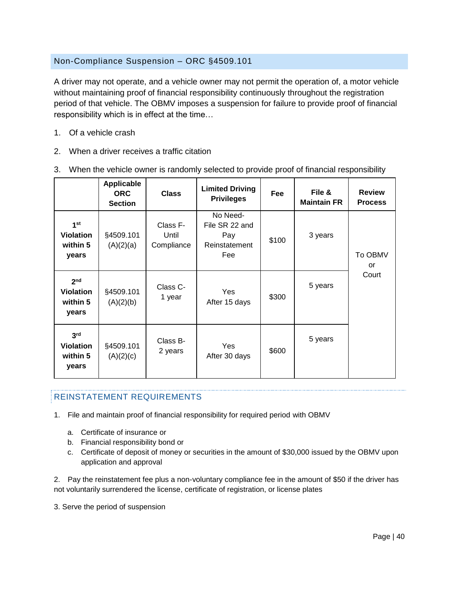# <span id="page-40-0"></span>Non-Compliance Suspension – ORC §4509.101

A driver may not operate, and a vehicle owner may not permit the operation of, a motor vehicle without maintaining proof of financial responsibility continuously throughout the registration period of that vehicle. The OBMV imposes a suspension for failure to provide proof of financial responsibility which is in effect at the time…

- 1. Of a vehicle crash
- 2. When a driver receives a traffic citation

|                                                          | <b>Applicable</b><br><b>ORC</b><br><b>Section</b> | <b>Class</b>                    | <b>Limited Driving</b><br><b>Privileges</b>               | Fee   | File &<br><b>Maintain FR</b> | <b>Review</b><br><b>Process</b> |
|----------------------------------------------------------|---------------------------------------------------|---------------------------------|-----------------------------------------------------------|-------|------------------------------|---------------------------------|
| 1 <sup>st</sup><br><b>Violation</b><br>within 5<br>years | §4509.101<br>(A)(2)(a)                            | Class F-<br>Until<br>Compliance | No Need-<br>File SR 22 and<br>Pay<br>Reinstatement<br>Fee | \$100 | 3 years                      | To OBMV<br>or                   |
| 2 <sub>nd</sub><br><b>Violation</b><br>within 5<br>years | §4509.101<br>(A)(2)(b)                            | Class C-<br>1 year              | Yes<br>After 15 days                                      | \$300 | 5 years                      | Court                           |
| 3 <sup>rd</sup><br><b>Violation</b><br>within 5<br>years | §4509.101<br>(A)(2)(c)                            | Class B-<br>2 years             | Yes<br>After 30 days                                      | \$600 | 5 years                      |                                 |

3. When the vehicle owner is randomly selected to provide proof of financial responsibility

# REINSTATEMENT REQUIREMENTS

- 1. File and maintain proof of financial responsibility for required period with OBMV
	- a. Certificate of insurance or
	- b. Financial responsibility bond or
	- c. Certificate of deposit of money or securities in the amount of \$30,000 issued by the OBMV upon application and approval

2. Pay the reinstatement fee plus a non-voluntary compliance fee in the amount of \$50 if the driver has not voluntarily surrendered the license, certificate of registration, or license plates

3. Serve the period of suspension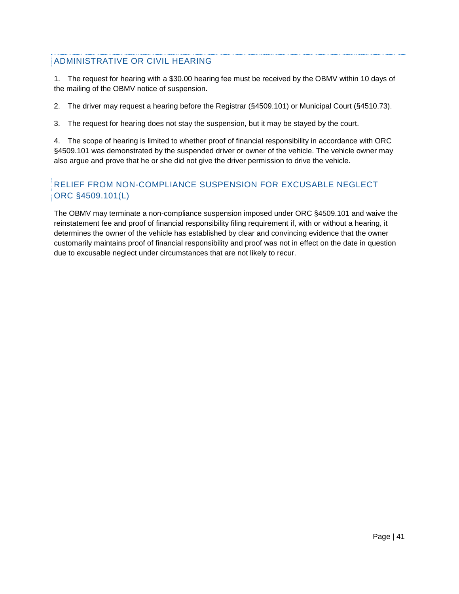# ADMINISTRATIVE OR CIVIL HEARING

1. The request for hearing with a \$30.00 hearing fee must be received by the OBMV within 10 days of the mailing of the OBMV notice of suspension.

2. The driver may request a hearing before the Registrar (§4509.101) or Municipal Court (§4510.73).

3. The request for hearing does not stay the suspension, but it may be stayed by the court.

4. The scope of hearing is limited to whether proof of financial responsibility in accordance with ORC §4509.101 was demonstrated by the suspended driver or owner of the vehicle. The vehicle owner may also argue and prove that he or she did not give the driver permission to drive the vehicle.

# RELIEF FROM NON-COMPLIANCE SUSPENSION FOR EXCUSABLE NEGLECT ORC §4509.101(L)

The OBMV may terminate a non-compliance suspension imposed under ORC §4509.101 and waive the reinstatement fee and proof of financial responsibility filing requirement if, with or without a hearing, it determines the owner of the vehicle has established by clear and convincing evidence that the owner customarily maintains proof of financial responsibility and proof was not in effect on the date in question due to excusable neglect under circumstances that are not likely to recur.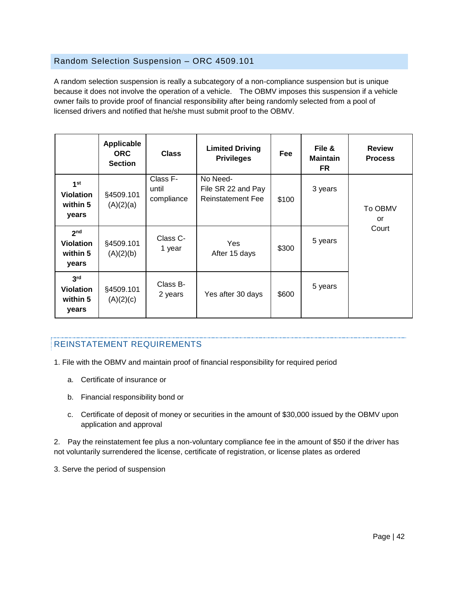#### <span id="page-42-0"></span>Random Selection Suspension – ORC 4509.101

A random selection suspension is really a subcategory of a non-compliance suspension but is unique because it does not involve the operation of a vehicle. The OBMV imposes this suspension if a vehicle owner fails to provide proof of financial responsibility after being randomly selected from a pool of licensed drivers and notified that he/she must submit proof to the OBMV.

|                                                          | Applicable<br><b>ORC</b><br><b>Section</b> | <b>Class</b>                    | <b>Limited Driving</b><br><b>Privileges</b>                | <b>Fee</b> | File &<br><b>Maintain</b><br>FR | <b>Review</b><br><b>Process</b> |
|----------------------------------------------------------|--------------------------------------------|---------------------------------|------------------------------------------------------------|------------|---------------------------------|---------------------------------|
| 1 <sup>st</sup><br><b>Violation</b><br>within 5<br>years | §4509.101<br>(A)(2)(a)                     | Class F-<br>until<br>compliance | No Need-<br>File SR 22 and Pay<br><b>Reinstatement Fee</b> | \$100      | 3 years                         | To OBMV<br>or                   |
| 2 <sub>nd</sub><br><b>Violation</b><br>within 5<br>years | §4509.101<br>(A)(2)(b)                     | Class C-<br>1 year              | Yes<br>After 15 days                                       | \$300      | 5 years                         | Court                           |
| 3 <sup>rd</sup><br><b>Violation</b><br>within 5<br>years | §4509.101<br>(A)(2)(c)                     | Class B-<br>2 years             | Yes after 30 days                                          | \$600      | 5 years                         |                                 |

# REINSTATEMENT REQUIREMENTS

- 1. File with the OBMV and maintain proof of financial responsibility for required period
	- a. Certificate of insurance or
	- b. Financial responsibility bond or
	- c. Certificate of deposit of money or securities in the amount of \$30,000 issued by the OBMV upon application and approval

2. Pay the reinstatement fee plus a non-voluntary compliance fee in the amount of \$50 if the driver has not voluntarily surrendered the license, certificate of registration, or license plates as ordered

3. Serve the period of suspension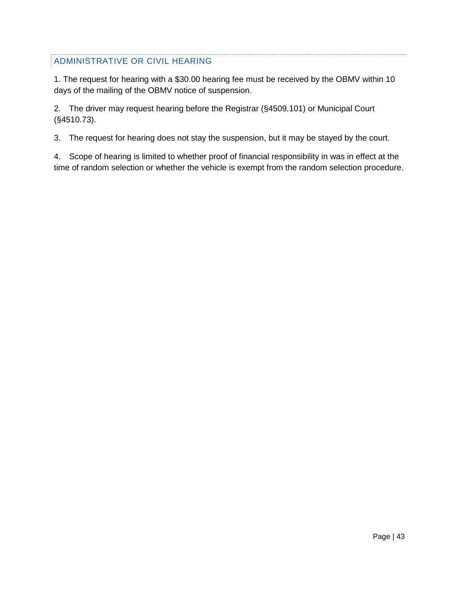# ADMINISTRATIVE OR CIVIL HEARING

1. The request for hearing with a \$30.00 hearing fee must be received by the OBMV within 10 days of the mailing of the OBMV notice of suspension.

2. The driver may request hearing before the Registrar (§4509.101) or Municipal Court (§4510.73).

3. The request for hearing does not stay the suspension, but it may be stayed by the court.

4. Scope of hearing is limited to whether proof of financial responsibility in was in effect at the time of random selection or whether the vehicle is exempt from the random selection procedure.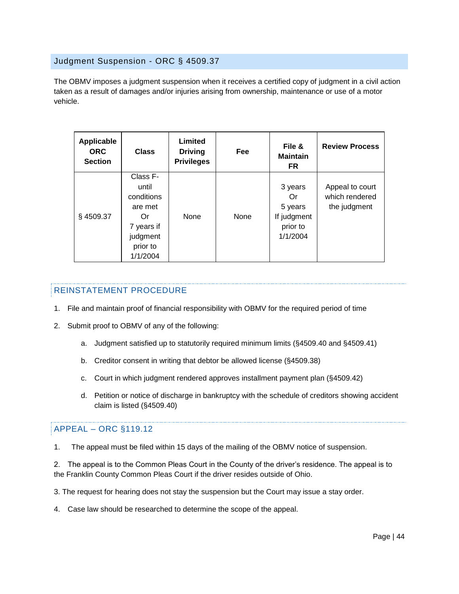#### <span id="page-44-0"></span>Judgment Suspension - ORC § 4509.37

The OBMV imposes a judgment suspension when it receives a certified copy of judgment in a civil action taken as a result of damages and/or injuries arising from ownership, maintenance or use of a motor vehicle.

| Applicable<br><b>ORC</b><br><b>Section</b> | <b>Class</b>                                                                                       | Limited<br><b>Driving</b><br><b>Privileges</b> | <b>Fee</b> | File &<br><b>Maintain</b><br>FR                                 | <b>Review Process</b>                             |
|--------------------------------------------|----------------------------------------------------------------------------------------------------|------------------------------------------------|------------|-----------------------------------------------------------------|---------------------------------------------------|
| §4509.37                                   | Class F-<br>until<br>conditions<br>are met<br>Or<br>7 years if<br>judgment<br>prior to<br>1/1/2004 | None                                           | None       | 3 years<br>Or<br>5 years<br>If judgment<br>prior to<br>1/1/2004 | Appeal to court<br>which rendered<br>the judgment |

#### REINSTATEMENT PROCEDURE

- 1. File and maintain proof of financial responsibility with OBMV for the required period of time
- 2. Submit proof to OBMV of any of the following:
	- a. Judgment satisfied up to statutorily required minimum limits (§4509.40 and §4509.41)
	- b. Creditor consent in writing that debtor be allowed license (§4509.38)
	- c. Court in which judgment rendered approves installment payment plan (§4509.42)
	- d. Petition or notice of discharge in bankruptcy with the schedule of creditors showing accident claim is listed (§4509.40)

#### APPEAL – ORC §119.12

1. The appeal must be filed within 15 days of the mailing of the OBMV notice of suspension.

2. The appeal is to the Common Pleas Court in the County of the driver's residence. The appeal is to the Franklin County Common Pleas Court if the driver resides outside of Ohio.

3. The request for hearing does not stay the suspension but the Court may issue a stay order.

4. Case law should be researched to determine the scope of the appeal.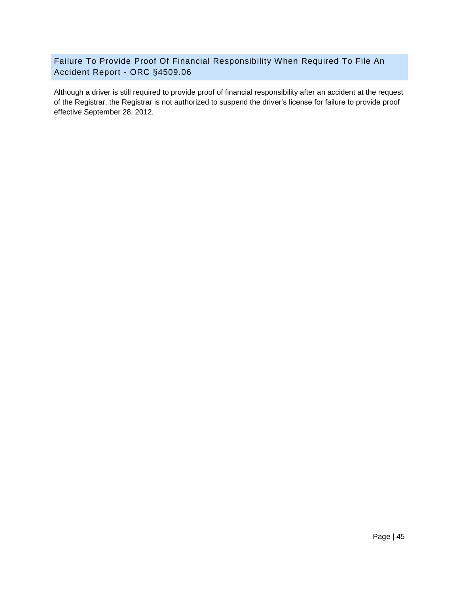<span id="page-45-0"></span>Failure To Provide Proof Of Financial Responsibility When Required To File An Accident Report - ORC §4509.06

Although a driver is still required to provide proof of financial responsibility after an accident at the request of the Registrar, the Registrar is not authorized to suspend the driver's license for failure to provide proof effective September 28, 2012.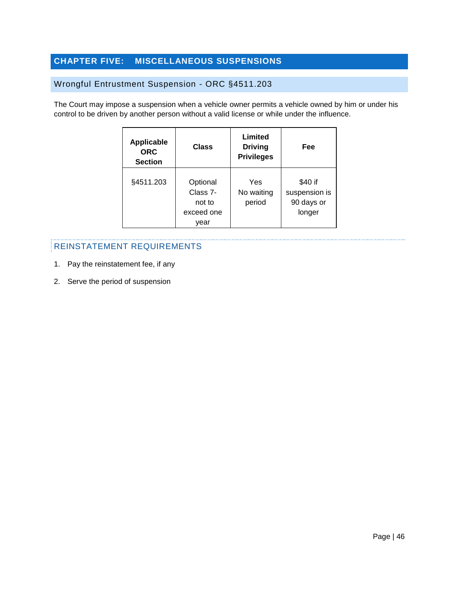# <span id="page-46-0"></span>**CHAPTER FIVE: MISCELLANEOUS SUSPENSIONS**

# <span id="page-46-1"></span>Wrongful Entrustment Suspension - ORC §4511.203

The Court may impose a suspension when a vehicle owner permits a vehicle owned by him or under his control to be driven by another person without a valid license or while under the influence.

| <b>Applicable</b><br><b>ORC</b><br><b>Section</b> | Class                                                | Limited<br><b>Driving</b><br><b>Privileges</b> | Fee                                              |
|---------------------------------------------------|------------------------------------------------------|------------------------------------------------|--------------------------------------------------|
| §4511.203                                         | Optional<br>Class 7-<br>not to<br>exceed one<br>year | Yes<br>No waiting<br>period                    | \$40 if<br>suspension is<br>90 days or<br>longer |

- 1. Pay the reinstatement fee, if any
- 2. Serve the period of suspension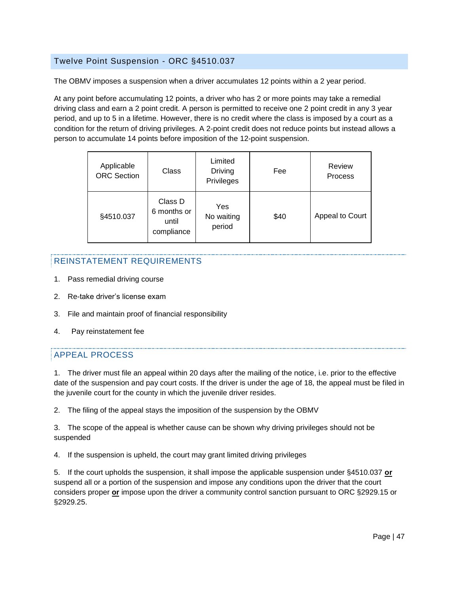#### <span id="page-47-0"></span>Twelve Point Suspension - ORC §4510.037

The OBMV imposes a suspension when a driver accumulates 12 points within a 2 year period.

At any point before accumulating 12 points, a driver who has 2 or more points may take a remedial driving class and earn a 2 point credit. A person is permitted to receive one 2 point credit in any 3 year period, and up to 5 in a lifetime. However, there is no credit where the class is imposed by a court as a condition for the return of driving privileges. A 2-point credit does not reduce points but instead allows a person to accumulate 14 points before imposition of the 12-point suspension.

| Applicable<br><b>ORC</b> Section | Class                                         | Limited<br>Driving<br>Privileges | Fee  | Review<br><b>Process</b> |
|----------------------------------|-----------------------------------------------|----------------------------------|------|--------------------------|
| §4510.037                        | Class D<br>6 months or<br>until<br>compliance | Yes<br>No waiting<br>period      | \$40 | Appeal to Court          |

# REINSTATEMENT REQUIREMENTS

- 1. Pass remedial driving course
- 2. Re-take driver's license exam
- 3. File and maintain proof of financial responsibility
- 4. Pay reinstatement fee

# APPEAL PROCESS

1. The driver must file an appeal within 20 days after the mailing of the notice, i.e. prior to the effective date of the suspension and pay court costs. If the driver is under the age of 18, the appeal must be filed in the juvenile court for the county in which the juvenile driver resides.

2. The filing of the appeal stays the imposition of the suspension by the OBMV

3. The scope of the appeal is whether cause can be shown why driving privileges should not be suspended

4. If the suspension is upheld, the court may grant limited driving privileges

5. If the court upholds the suspension, it shall impose the applicable suspension under §4510.037 **or** suspend all or a portion of the suspension and impose any conditions upon the driver that the court considers proper **or** impose upon the driver a community control sanction pursuant to ORC §2929.15 or §2929.25.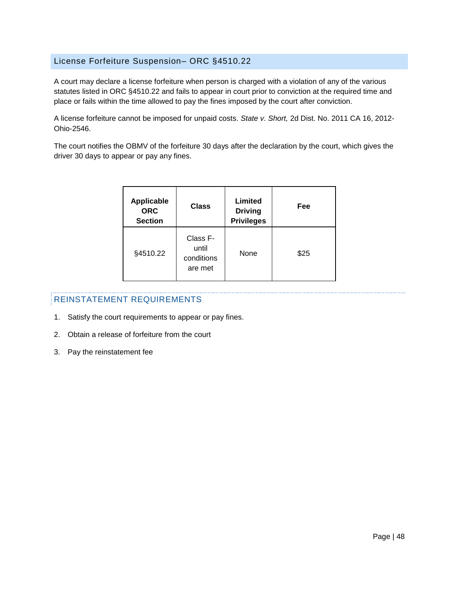#### <span id="page-48-0"></span>License Forfeiture Suspension– ORC §4510.22

A court may declare a license forfeiture when person is charged with a violation of any of the various statutes listed in ORC §4510.22 and fails to appear in court prior to conviction at the required time and place or fails within the time allowed to pay the fines imposed by the court after conviction.

A license forfeiture cannot be imposed for unpaid costs. *State v. Short,* 2d Dist. No. 2011 CA 16, 2012- Ohio-2546.

The court notifies the OBMV of the forfeiture 30 days after the declaration by the court, which gives the driver 30 days to appear or pay any fines.

| <b>Applicable</b><br><b>ORC</b><br><b>Section</b> | Class                                      | Limited<br><b>Driving</b><br><b>Privileges</b> | Fee  |
|---------------------------------------------------|--------------------------------------------|------------------------------------------------|------|
| §4510.22                                          | Class F-<br>until<br>conditions<br>are met | None                                           | \$25 |

- 1. Satisfy the court requirements to appear or pay fines.
- 2. Obtain a release of forfeiture from the court
- 3. Pay the reinstatement fee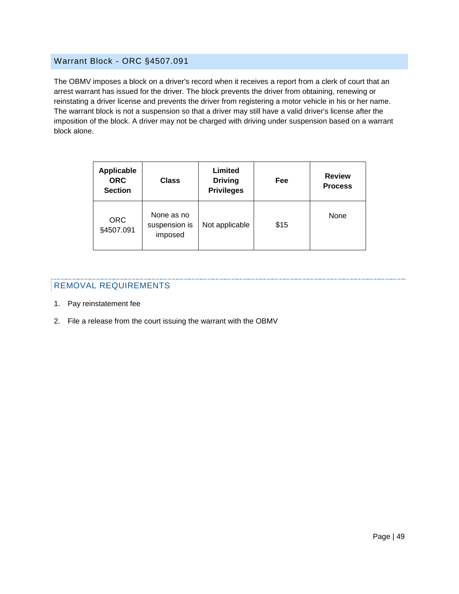#### <span id="page-49-0"></span>Warrant Block - ORC §4507.091

The OBMV imposes a block on a driver's record when it receives a report from a clerk of court that an arrest warrant has issued for the driver. The block prevents the driver from obtaining, renewing or reinstating a driver license and prevents the driver from registering a motor vehicle in his or her name. The warrant block is not a suspension so that a driver may still have a valid driver's license after the imposition of the block. A driver may not be charged with driving under suspension based on a warrant block alone.

| <b>Applicable</b><br><b>ORC</b><br><b>Section</b> | <b>Class</b>                           | Limited<br><b>Driving</b><br><b>Privileges</b> | Fee  | <b>Review</b><br><b>Process</b> |
|---------------------------------------------------|----------------------------------------|------------------------------------------------|------|---------------------------------|
| <b>ORC</b><br>§4507.091                           | None as no<br>suspension is<br>imposed | Not applicable                                 | \$15 | None                            |

#### REMOVAL REQUIREMENTS

- 1. Pay reinstatement fee
- 2. File a release from the court issuing the warrant with the OBMV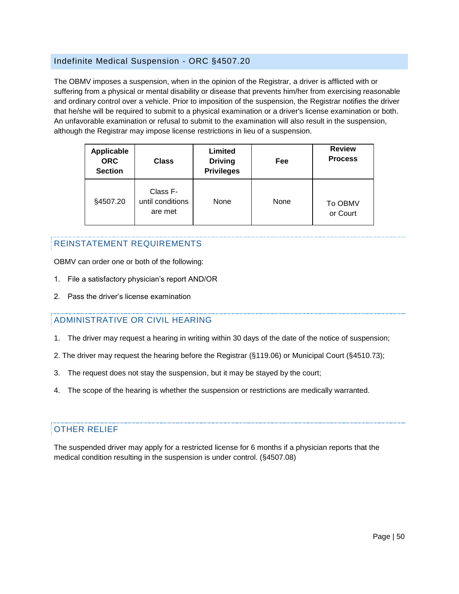#### <span id="page-50-0"></span>Indefinite Medical Suspension - ORC §4507.20

The OBMV imposes a suspension, when in the opinion of the Registrar, a driver is afflicted with or suffering from a physical or mental disability or disease that prevents him/her from exercising reasonable and ordinary control over a vehicle. Prior to imposition of the suspension, the Registrar notifies the driver that he/she will be required to submit to a physical examination or a driver's license examination or both. An unfavorable examination or refusal to submit to the examination will also result in the suspension, although the Registrar may impose license restrictions in lieu of a suspension.

| <b>Applicable</b><br><b>ORC</b><br><b>Section</b> | <b>Class</b>                            | Limited<br><b>Driving</b><br><b>Privileges</b> | Fee  | <b>Review</b><br><b>Process</b> |
|---------------------------------------------------|-----------------------------------------|------------------------------------------------|------|---------------------------------|
| §4507.20                                          | Class F-<br>until conditions<br>are met | None                                           | None | <b>To OBMV</b><br>or Court      |

# REINSTATEMENT REQUIREMENTS

OBMV can order one or both of the following:

- 1. File a satisfactory physician's report AND/OR
- 2. Pass the driver's license examination

#### ADMINISTRATIVE OR CIVIL HEARING

- 1. The driver may request a hearing in writing within 30 days of the date of the notice of suspension;
- 2. The driver may request the hearing before the Registrar (§119.06) or Municipal Court (§4510.73);
- 3. The request does not stay the suspension, but it may be stayed by the court;
- 4. The scope of the hearing is whether the suspension or restrictions are medically warranted.

#### OTHER RELIEF

The suspended driver may apply for a restricted license for 6 months if a physician reports that the medical condition resulting in the suspension is under control. (§4507.08)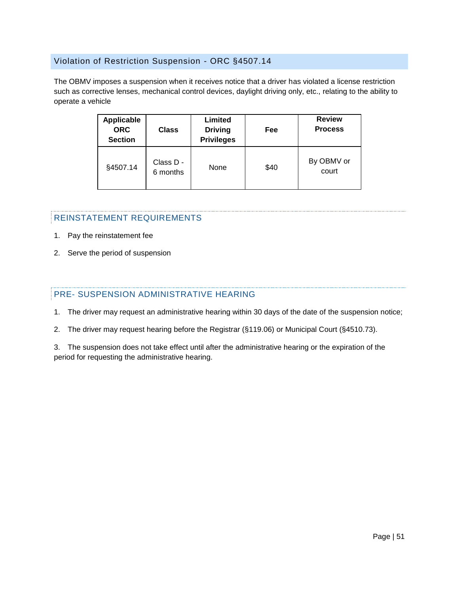#### <span id="page-51-0"></span>Violation of Restriction Suspension - ORC §4507.14

The OBMV imposes a suspension when it receives notice that a driver has violated a license restriction such as corrective lenses, mechanical control devices, daylight driving only, etc., relating to the ability to operate a vehicle

| <b>Applicable</b><br><b>ORC</b><br><b>Section</b> | <b>Class</b>          | Limited<br><b>Driving</b><br><b>Privileges</b> | Fee  | <b>Review</b><br><b>Process</b> |
|---------------------------------------------------|-----------------------|------------------------------------------------|------|---------------------------------|
| §4507.14                                          | Class D -<br>6 months | None                                           | \$40 | By OBMV or<br>court             |

#### REINSTATEMENT REQUIREMENTS

- 1. Pay the reinstatement fee
- 2. Serve the period of suspension

# PRE- SUSPENSION ADMINISTRATIVE HEARING

- 1. The driver may request an administrative hearing within 30 days of the date of the suspension notice;
- 2. The driver may request hearing before the Registrar (§119.06) or Municipal Court (§4510.73).

3. The suspension does not take effect until after the administrative hearing or the expiration of the period for requesting the administrative hearing.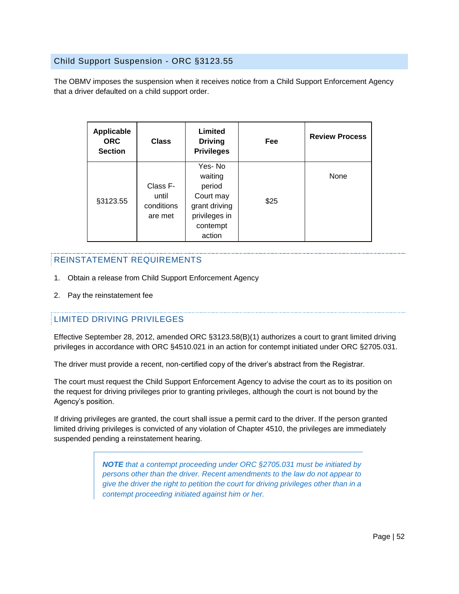#### <span id="page-52-0"></span>Child Support Suspension - ORC §3123.55

The OBMV imposes the suspension when it receives notice from a Child Support Enforcement Agency that a driver defaulted on a child support order.

| <b>Applicable</b><br><b>ORC</b><br><b>Section</b> | <b>Class</b>                               | Limited<br><b>Driving</b><br><b>Privileges</b>                                                   | Fee  | <b>Review Process</b> |
|---------------------------------------------------|--------------------------------------------|--------------------------------------------------------------------------------------------------|------|-----------------------|
| §3123.55                                          | Class F-<br>until<br>conditions<br>are met | Yes-No<br>waiting<br>period<br>Court may<br>grant driving<br>privileges in<br>contempt<br>action | \$25 | None                  |

# REINSTATEMENT REQUIREMENTS

- 1. Obtain a release from Child Support Enforcement Agency
- 2. Pay the reinstatement fee

# LIMITED DRIVING PRIVILEGES

Effective September 28, 2012, amended ORC §3123.58(B)(1) authorizes a court to grant limited driving privileges in accordance with ORC §4510.021 in an action for contempt initiated under ORC §2705.031.

The driver must provide a recent, non-certified copy of the driver's abstract from the Registrar.

The court must request the Child Support Enforcement Agency to advise the court as to its position on the request for driving privileges prior to granting privileges, although the court is not bound by the Agency's position.

If driving privileges are granted, the court shall issue a permit card to the driver. If the person granted limited driving privileges is convicted of any violation of Chapter 4510, the privileges are immediately suspended pending a reinstatement hearing.

> *NOTE that a contempt proceeding under ORC §2705.031 must be initiated by persons other than the driver. Recent amendments to the law do not appear to give the driver the right to petition the court for driving privileges other than in a contempt proceeding initiated against him or her.*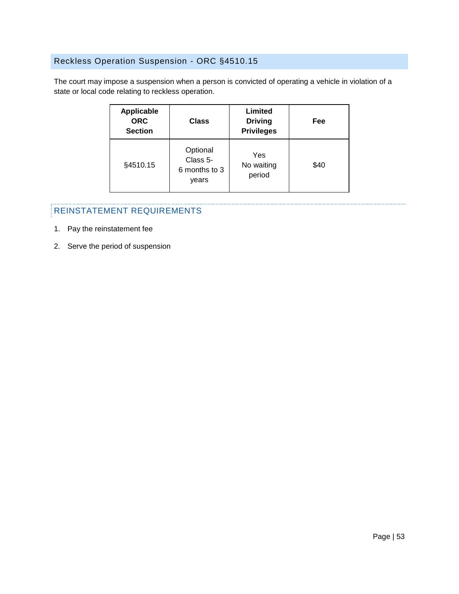# <span id="page-53-0"></span>Reckless Operation Suspension - ORC §4510.15

The court may impose a suspension when a person is convicted of operating a vehicle in violation of a state or local code relating to reckless operation.

| <b>Applicable</b><br><b>ORC</b><br><b>Section</b> | <b>Class</b>                                   | Limited<br><b>Driving</b><br><b>Privileges</b> | Fee  |
|---------------------------------------------------|------------------------------------------------|------------------------------------------------|------|
| §4510.15                                          | Optional<br>Class 5-<br>6 months to 3<br>years | Yes<br>No waiting<br>period                    | \$40 |

- 1. Pay the reinstatement fee
- 2. Serve the period of suspension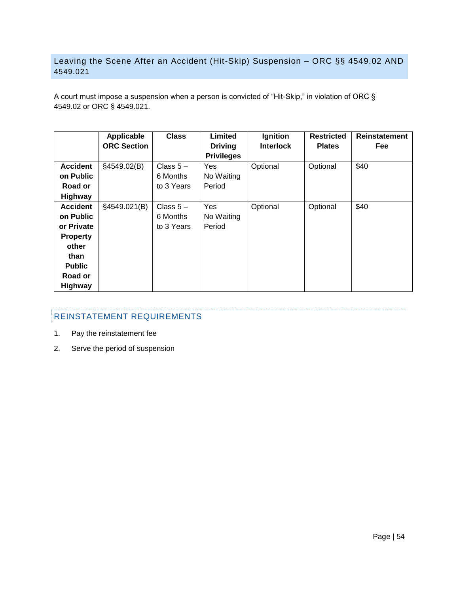# <span id="page-54-0"></span>Leaving the Scene After an Accident (Hit-Skip) Suspension – ORC §§ 4549.02 AND 4549.021

A court must impose a suspension when a person is convicted of "Hit-Skip," in violation of ORC § 4549.02 or ORC § 4549.021.

|                 | <b>Applicable</b><br><b>ORC Section</b> | <b>Class</b> | <b>Limited</b>                      | Ignition<br><b>Interlock</b> | <b>Restricted</b><br><b>Plates</b> | Reinstatement |
|-----------------|-----------------------------------------|--------------|-------------------------------------|------------------------------|------------------------------------|---------------|
|                 |                                         |              | <b>Driving</b><br><b>Privileges</b> |                              |                                    | <b>Fee</b>    |
| <b>Accident</b> | §4549.02(B)                             | Class $5-$   | Yes                                 | Optional                     | Optional                           | \$40          |
| on Public       |                                         | 6 Months     | No Waiting                          |                              |                                    |               |
| Road or         |                                         | to 3 Years   | Period                              |                              |                                    |               |
| Highway         |                                         |              |                                     |                              |                                    |               |
| <b>Accident</b> | §4549.021(B)                            | Class $5-$   | Yes                                 | Optional                     | Optional                           | \$40          |
| on Public       |                                         | 6 Months     | No Waiting                          |                              |                                    |               |
| or Private      |                                         | to 3 Years   | Period                              |                              |                                    |               |
| <b>Property</b> |                                         |              |                                     |                              |                                    |               |
| other           |                                         |              |                                     |                              |                                    |               |
| than            |                                         |              |                                     |                              |                                    |               |
| <b>Public</b>   |                                         |              |                                     |                              |                                    |               |
| Road or         |                                         |              |                                     |                              |                                    |               |
| Highway         |                                         |              |                                     |                              |                                    |               |

- 1. Pay the reinstatement fee
- 2. Serve the period of suspension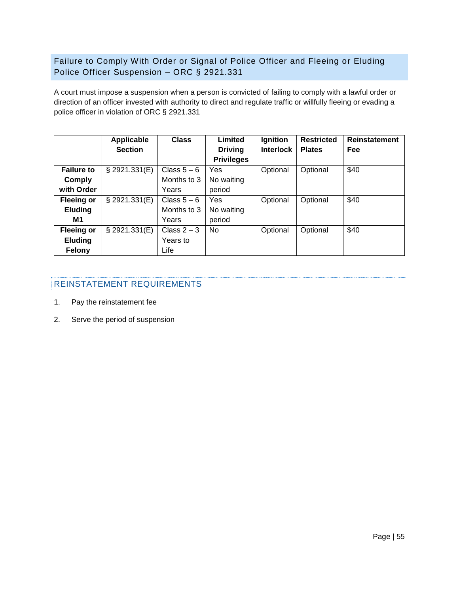<span id="page-55-0"></span>Failure to Comply With Order or Signal of Police Officer and Fleeing or Eluding Police Officer Suspension – ORC § 2921.331

A court must impose a suspension when a person is convicted of failing to comply with a lawful order or direction of an officer invested with authority to direct and regulate traffic or willfully fleeing or evading a police officer in violation of ORC § 2921.331

|                   | Applicable     | <b>Class</b>  | Limited           | Ignition         | <b>Restricted</b> | <b>Reinstatement</b> |
|-------------------|----------------|---------------|-------------------|------------------|-------------------|----------------------|
|                   | <b>Section</b> |               | <b>Driving</b>    | <b>Interlock</b> | <b>Plates</b>     | Fee                  |
|                   |                |               | <b>Privileges</b> |                  |                   |                      |
| <b>Failure to</b> | § 2921.331(E)  | Class $5-6$   | Yes               | Optional         | Optional          | \$40                 |
| Comply            |                | Months to 3   | No waiting        |                  |                   |                      |
| with Order        |                | Years         | period            |                  |                   |                      |
| <b>Fleeing or</b> | § 2921.331(E)  | Class $5-6$   | Yes               | Optional         | Optional          | \$40                 |
| <b>Eluding</b>    |                | Months to 3   | No waiting        |                  |                   |                      |
| M1                |                | Years         | period            |                  |                   |                      |
| <b>Fleeing or</b> | § 2921.331(E)  | Class $2 - 3$ | <b>No</b>         | Optional         | Optional          | \$40                 |
| <b>Eluding</b>    |                | Years to      |                   |                  |                   |                      |
| <b>Felony</b>     |                | Life          |                   |                  |                   |                      |

- 1. Pay the reinstatement fee
- 2. Serve the period of suspension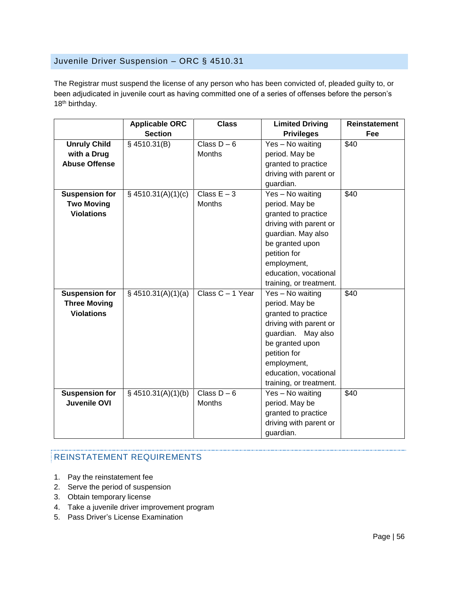# <span id="page-56-0"></span>Juvenile Driver Suspension – ORC § 4510.31

The Registrar must suspend the license of any person who has been convicted of, pleaded guilty to, or been adjudicated in juvenile court as having committed one of a series of offenses before the person's 18<sup>th</sup> birthday.

|                       | <b>Applicable ORC</b> | <b>Class</b>     | <b>Limited Driving</b>  | Reinstatement |
|-----------------------|-----------------------|------------------|-------------------------|---------------|
|                       | <b>Section</b>        |                  | <b>Privileges</b>       | Fee           |
| <b>Unruly Child</b>   | §4510.31(B)           | Class $D - 6$    | Yes - No waiting        | \$40          |
| with a Drug           |                       | <b>Months</b>    | period. May be          |               |
| <b>Abuse Offense</b>  |                       |                  | granted to practice     |               |
|                       |                       |                  | driving with parent or  |               |
|                       |                       |                  | guardian.               |               |
| <b>Suspension for</b> | $§$ 4510.31(A)(1)(c)  | Class $E - 3$    | Yes - No waiting        | \$40          |
| <b>Two Moving</b>     |                       | Months           | period. May be          |               |
| <b>Violations</b>     |                       |                  | granted to practice     |               |
|                       |                       |                  | driving with parent or  |               |
|                       |                       |                  | guardian. May also      |               |
|                       |                       |                  | be granted upon         |               |
|                       |                       |                  | petition for            |               |
|                       |                       |                  | employment,             |               |
|                       |                       |                  | education, vocational   |               |
|                       |                       |                  | training, or treatment. |               |
| <b>Suspension for</b> | $§$ 4510.31(A)(1)(a)  | Class C - 1 Year | Yes - No waiting        | \$40          |
| <b>Three Moving</b>   |                       |                  | period. May be          |               |
| <b>Violations</b>     |                       |                  | granted to practice     |               |
|                       |                       |                  | driving with parent or  |               |
|                       |                       |                  | guardian. May also      |               |
|                       |                       |                  | be granted upon         |               |
|                       |                       |                  | petition for            |               |
|                       |                       |                  | employment,             |               |
|                       |                       |                  | education, vocational   |               |
|                       |                       |                  | training, or treatment. |               |
| <b>Suspension for</b> | $§$ 4510.31(A)(1)(b)  | Class $D - 6$    | Yes - No waiting        | \$40          |
| <b>Juvenile OVI</b>   |                       | Months           | period. May be          |               |
|                       |                       |                  | granted to practice     |               |
|                       |                       |                  | driving with parent or  |               |
|                       |                       |                  | guardian.               |               |

- 1. Pay the reinstatement fee
- 2. Serve the period of suspension
- 3. Obtain temporary license
- 4. Take a juvenile driver improvement program
- 5. Pass Driver's License Examination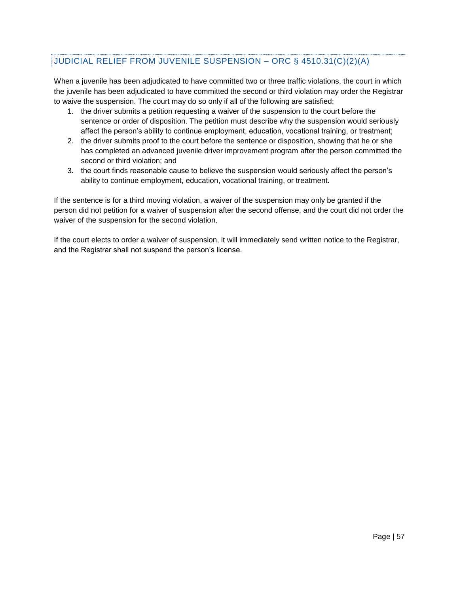# JUDICIAL RELIEF FROM JUVENILE SUSPENSION – ORC § 4510.31(C)(2)(A)

When a juvenile has been adjudicated to have committed two or three traffic violations, the court in which the juvenile has been adjudicated to have committed the second or third violation may order the Registrar to waive the suspension. The court may do so only if all of the following are satisfied:

- 1. the driver submits a petition requesting a waiver of the suspension to the court before the sentence or order of disposition. The petition must describe why the suspension would seriously affect the person's ability to continue employment, education, vocational training, or treatment;
- 2. the driver submits proof to the court before the sentence or disposition, showing that he or she has completed an advanced juvenile driver improvement program after the person committed the second or third violation; and
- 3. the court finds reasonable cause to believe the suspension would seriously affect the person's ability to continue employment, education, vocational training, or treatment.

If the sentence is for a third moving violation, a waiver of the suspension may only be granted if the person did not petition for a waiver of suspension after the second offense, and the court did not order the waiver of the suspension for the second violation.

If the court elects to order a waiver of suspension, it will immediately send written notice to the Registrar, and the Registrar shall not suspend the person's license.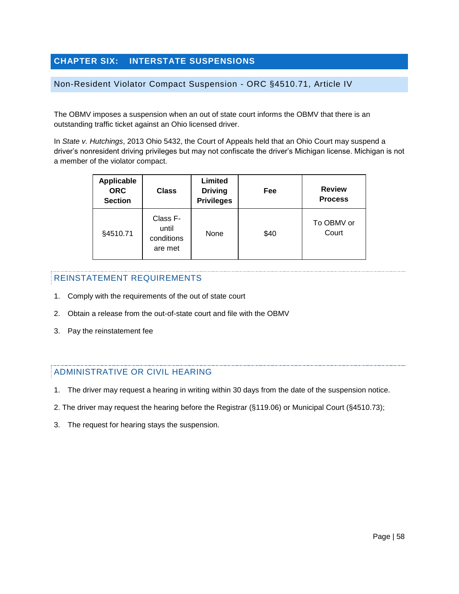# <span id="page-58-0"></span>**CHAPTER SIX: INTERSTATE SUSPENSIONS**

#### <span id="page-58-1"></span>Non-Resident Violator Compact Suspension - ORC §4510.71, Article IV

The OBMV imposes a suspension when an out of state court informs the OBMV that there is an outstanding traffic ticket against an Ohio licensed driver.

In *State v. Hutchings*, 2013 Ohio 5432, the Court of Appeals held that an Ohio Court may suspend a driver's nonresident driving privileges but may not confiscate the driver's Michigan license. Michigan is not a member of the violator compact.

| <b>Applicable</b><br><b>ORC</b><br><b>Section</b> | <b>Class</b>                               | Limited<br><b>Driving</b><br><b>Privileges</b> | Fee  | <b>Review</b><br><b>Process</b> |
|---------------------------------------------------|--------------------------------------------|------------------------------------------------|------|---------------------------------|
| §4510.71                                          | Class F-<br>until<br>conditions<br>are met | None                                           | \$40 | To OBMV or<br>Court             |

#### REINSTATEMENT REQUIREMENTS

- 1. Comply with the requirements of the out of state court
- 2. Obtain a release from the out-of-state court and file with the OBMV
- 3. Pay the reinstatement fee

#### ADMINISTRATIVE OR CIVIL HEARING

- 1. The driver may request a hearing in writing within 30 days from the date of the suspension notice.
- 2. The driver may request the hearing before the Registrar (§119.06) or Municipal Court (§4510.73);
- 3. The request for hearing stays the suspension.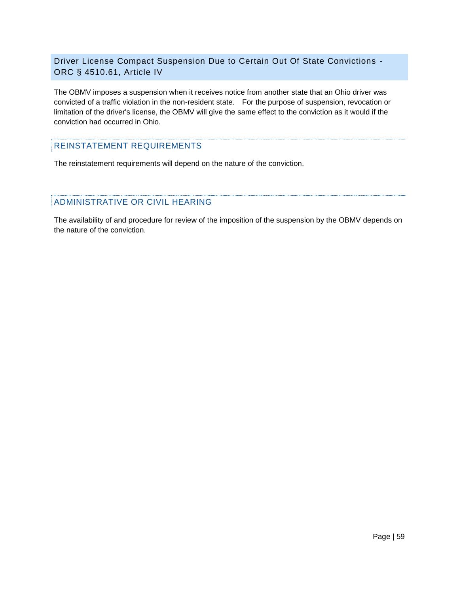#### <span id="page-59-0"></span>Driver License Compact Suspension Due to Certain Out Of State Convictions - ORC § 4510.61, Article IV

The OBMV imposes a suspension when it receives notice from another state that an Ohio driver was convicted of a traffic violation in the non-resident state. For the purpose of suspension, revocation or limitation of the driver's license, the OBMV will give the same effect to the conviction as it would if the conviction had occurred in Ohio.

#### REINSTATEMENT REQUIREMENTS

The reinstatement requirements will depend on the nature of the conviction.

#### ADMINISTRATIVE OR CIVIL HEARING

The availability of and procedure for review of the imposition of the suspension by the OBMV depends on the nature of the conviction.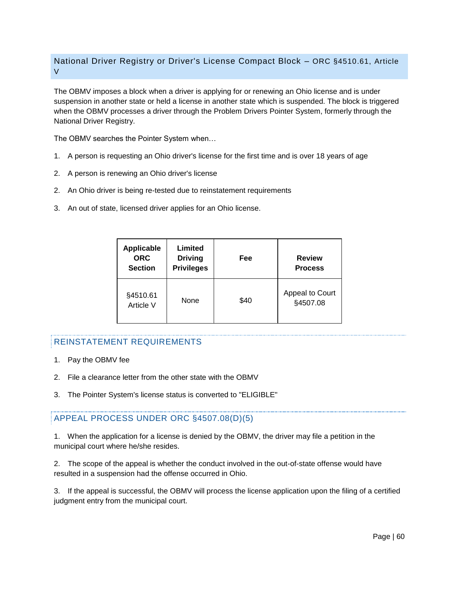#### <span id="page-60-0"></span>National Driver Registry or Driver's License Compact Block – ORC §4510.61, Article V

The OBMV imposes a block when a driver is applying for or renewing an Ohio license and is under suspension in another state or held a license in another state which is suspended. The block is triggered when the OBMV processes a driver through the Problem Drivers Pointer System, formerly through the National Driver Registry.

The OBMV searches the Pointer System when…

- 1. A person is requesting an Ohio driver's license for the first time and is over 18 years of age
- 2. A person is renewing an Ohio driver's license
- 2. An Ohio driver is being re-tested due to reinstatement requirements
- 3. An out of state, licensed driver applies for an Ohio license.

| <b>Applicable</b><br><b>ORC</b><br><b>Section</b> | Limited<br><b>Driving</b><br><b>Privileges</b> | Fee  | <b>Review</b><br><b>Process</b> |
|---------------------------------------------------|------------------------------------------------|------|---------------------------------|
| §4510.61<br>Article V                             | None                                           | \$40 | Appeal to Court<br>§4507.08     |

#### REINSTATEMENT REQUIREMENTS

- 1. Pay the OBMV fee
- 2. File a clearance letter from the other state with the OBMV
- 3. The Pointer System's license status is converted to "ELIGIBLE"

#### APPEAL PROCESS UNDER ORC §4507.08(D)(5)

1. When the application for a license is denied by the OBMV, the driver may file a petition in the municipal court where he/she resides.

2. The scope of the appeal is whether the conduct involved in the out-of-state offense would have resulted in a suspension had the offense occurred in Ohio.

3. If the appeal is successful, the OBMV will process the license application upon the filing of a certified judgment entry from the municipal court.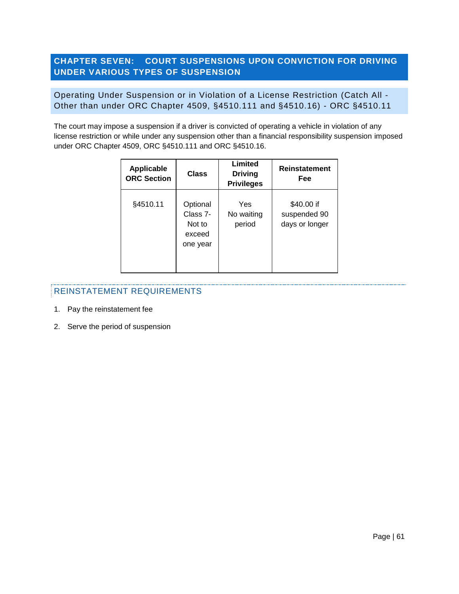# <span id="page-61-0"></span>**CHAPTER SEVEN: COURT SUSPENSIONS UPON CONVICTION FOR DRIVING UNDER VARIOUS TYPES OF SUSPENSION**

#### <span id="page-61-1"></span>Operating Under Suspension or in Violation of a License Restriction (Catch All - Other than under ORC Chapter 4509, §4510.111 and §4510.16) - ORC §4510.11

The court may impose a suspension if a driver is convicted of operating a vehicle in violation of any license restriction or while under any suspension other than a financial responsibility suspension imposed under ORC Chapter 4509, ORC §4510.111 and ORC §4510.16.

| <b>Applicable</b><br><b>ORC Section</b> | Class                                                | Limited<br><b>Driving</b><br><b>Privileges</b> | <b>Reinstatement</b><br>Fee                  |
|-----------------------------------------|------------------------------------------------------|------------------------------------------------|----------------------------------------------|
| §4510.11                                | Optional<br>Class 7-<br>Not to<br>exceed<br>one year | Yes<br>No waiting<br>period                    | \$40.00 if<br>suspended 90<br>days or longer |

- 1. Pay the reinstatement fee
- 2. Serve the period of suspension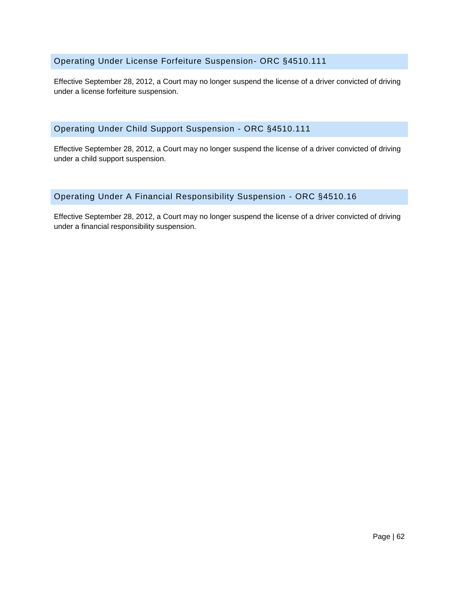#### <span id="page-62-0"></span>Operating Under License Forfeiture Suspension- ORC §4510.111

Effective September 28, 2012, a Court may no longer suspend the license of a driver convicted of driving under a license forfeiture suspension.

#### <span id="page-62-1"></span>Operating Under Child Support Suspension - ORC §4510.111

Effective September 28, 2012, a Court may no longer suspend the license of a driver convicted of driving under a child support suspension.

# <span id="page-62-2"></span>Operating Under A Financial Responsibility Suspension - ORC §4510.16

Effective September 28, 2012, a Court may no longer suspend the license of a driver convicted of driving under a financial responsibility suspension.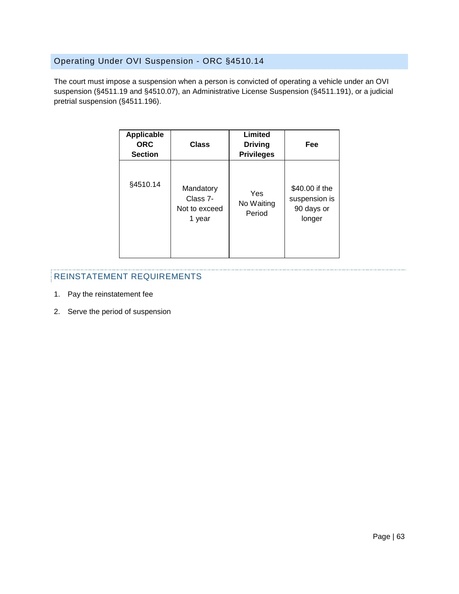# <span id="page-63-0"></span>Operating Under OVI Suspension - ORC §4510.14

The court must impose a suspension when a person is convicted of operating a vehicle under an OVI suspension (§4511.19 and §4510.07), an Administrative License Suspension (§4511.191), or a judicial pretrial suspension (§4511.196).

| <b>Applicable</b><br><b>ORC</b><br><b>Section</b> | Class                                            | Limited<br><b>Driving</b><br><b>Privileges</b> | Fee                                                     |
|---------------------------------------------------|--------------------------------------------------|------------------------------------------------|---------------------------------------------------------|
| §4510.14                                          | Mandatory<br>Class 7-<br>Not to exceed<br>1 year | Yes<br>No Waiting<br>Period                    | \$40.00 if the<br>suspension is<br>90 days or<br>longer |

- 1. Pay the reinstatement fee
- 2. Serve the period of suspension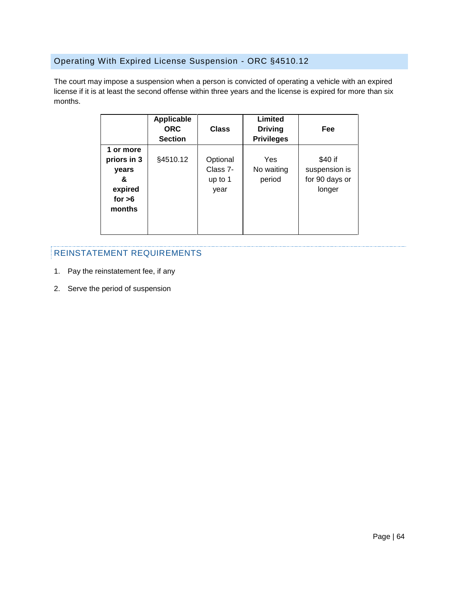# <span id="page-64-0"></span>Operating With Expired License Suspension - ORC §4510.12

The court may impose a suspension when a person is convicted of operating a vehicle with an expired license if it is at least the second offense within three years and the license is expired for more than six months.

|                                                                         | Applicable<br><b>ORC</b><br><b>Section</b> | <b>Class</b>                            | Limited<br><b>Driving</b><br><b>Privileges</b> | Fee                                                  |
|-------------------------------------------------------------------------|--------------------------------------------|-----------------------------------------|------------------------------------------------|------------------------------------------------------|
| 1 or more<br>priors in 3<br>vears<br>&<br>expired<br>for $>6$<br>months | §4510.12                                   | Optional<br>Class 7-<br>up to 1<br>year | Yes<br>No waiting<br>period                    | \$40 if<br>suspension is<br>for 90 days or<br>longer |

- 1. Pay the reinstatement fee, if any
- 2. Serve the period of suspension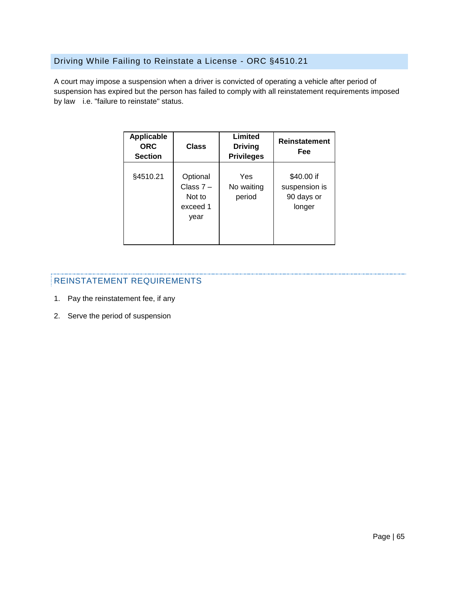# <span id="page-65-0"></span>Driving While Failing to Reinstate a License - ORC §4510.21

A court may impose a suspension when a driver is convicted of operating a vehicle after period of suspension has expired but the person has failed to comply with all reinstatement requirements imposed by law i.e. "failure to reinstate" status.

| <b>Applicable</b><br><b>ORC</b><br><b>Section</b> | <b>Class</b>                                          | Limited<br><b>Driving</b><br><b>Privileges</b> | <b>Reinstatement</b><br>Fee                         |
|---------------------------------------------------|-------------------------------------------------------|------------------------------------------------|-----------------------------------------------------|
| §4510.21                                          | Optional<br>Class $7 -$<br>Not to<br>exceed 1<br>year | Yes<br>No waiting<br>period                    | \$40.00 if<br>suspension is<br>90 days or<br>longer |

- 1. Pay the reinstatement fee, if any
- 2. Serve the period of suspension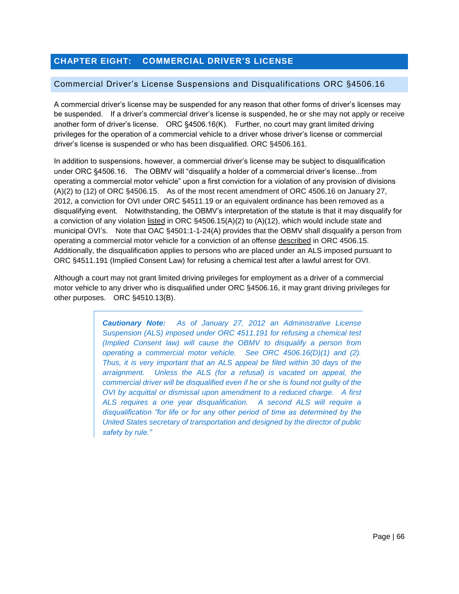# <span id="page-66-0"></span>**CHAPTER EIGHT: COMMERCIAL DRIVER'S LICENSE**

#### <span id="page-66-1"></span>Commercial Driver's License Suspensions and Disqualifications ORC §4506.16

A commercial driver's license may be suspended for any reason that other forms of driver's licenses may be suspended. If a driver's commercial driver's license is suspended, he or she may not apply or receive another form of driver's license. ORC §4506.16(K). Further, no court may grant limited driving privileges for the operation of a commercial vehicle to a driver whose driver's license or commercial driver's license is suspended or who has been disqualified. ORC §4506.161.

In addition to suspensions, however, a commercial driver's license may be subject to disqualification under ORC §4506.16. The OBMV will "disqualify a holder of a commercial driver's license...from operating a commercial motor vehicle" upon a first conviction for a violation of any provision of divisions (A)(2) to (12) of ORC §4506.15. As of the most recent amendment of ORC 4506.16 on January 27, 2012, a conviction for OVI under ORC §4511.19 or an equivalent ordinance has been removed as a disqualifying event. Notwithstanding, the OBMV's interpretation of the statute is that it may disqualify for a conviction of any violation listed in ORC §4506.15(A)(2) to (A)(12), which would include state and municipal OVI's. Note that OAC §4501:1-1-24(A) provides that the OBMV shall disqualify a person from operating a commercial motor vehicle for a conviction of an offense described in ORC 4506.15. Additionally, the disqualification applies to persons who are placed under an ALS imposed pursuant to ORC §4511.191 (Implied Consent Law) for refusing a chemical test after a lawful arrest for OVI.

Although a court may not grant limited driving privileges for employment as a driver of a commercial motor vehicle to any driver who is disqualified under ORC §4506.16, it may grant driving privileges for other purposes. ORC §4510.13(B).

> *Cautionary Note: As of January 27, 2012 an Administrative License Suspension (ALS) imposed under ORC 4511.191 for refusing a chemical test (Implied Consent law) will cause the OBMV to disqualify a person from operating a commercial motor vehicle. See ORC 4506.16(D)(1) and (2). Thus, it is very important that an ALS appeal be filed within 30 days of the arraignment. Unless the ALS (for a refusal) is vacated on appeal, the commercial driver will be disqualified even if he or she is found not guilty of the OVI by acquittal or dismissal upon amendment to a reduced charge. A first ALS requires a one year disqualification. A second ALS will require a disqualification "for life or for any other period of time as determined by the United States secretary of transportation and designed by the director of public safety by rule."*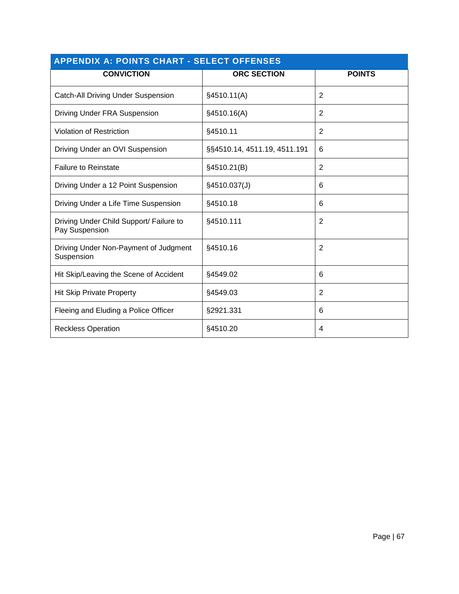<span id="page-67-0"></span>

| <b>APPENDIX A: POINTS CHART - SELECT OFFENSES</b>         |                              |                |  |  |  |
|-----------------------------------------------------------|------------------------------|----------------|--|--|--|
| <b>CONVICTION</b>                                         | <b>ORC SECTION</b>           | <b>POINTS</b>  |  |  |  |
| <b>Catch-All Driving Under Suspension</b>                 | §4510.11(A)                  | 2              |  |  |  |
| <b>Driving Under FRA Suspension</b>                       | §4510.16(A)                  | 2              |  |  |  |
| <b>Violation of Restriction</b>                           | §4510.11                     | $\overline{2}$ |  |  |  |
| Driving Under an OVI Suspension                           | §§4510.14, 4511.19, 4511.191 | 6              |  |  |  |
| <b>Failure to Reinstate</b>                               | §4510.21(B)                  | $\overline{2}$ |  |  |  |
| Driving Under a 12 Point Suspension                       | §4510.037(J)                 | 6              |  |  |  |
| Driving Under a Life Time Suspension                      | §4510.18                     | 6              |  |  |  |
| Driving Under Child Support/ Failure to<br>Pay Suspension | §4510.111                    | $\overline{2}$ |  |  |  |
| Driving Under Non-Payment of Judgment<br>Suspension       | §4510.16                     | $\overline{2}$ |  |  |  |
| Hit Skip/Leaving the Scene of Accident                    | §4549.02                     | 6              |  |  |  |
| <b>Hit Skip Private Property</b>                          | §4549.03                     | $\overline{2}$ |  |  |  |
| Fleeing and Eluding a Police Officer                      | §2921.331                    | 6              |  |  |  |
| <b>Reckless Operation</b>                                 | §4510.20                     | 4              |  |  |  |